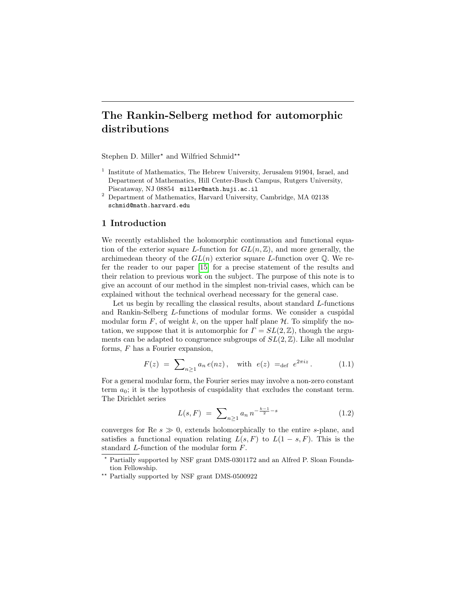# The Rankin-Selberg method for automorphic distributions

Stephen D. Miller<sup>\*</sup> and Wilfried Schmid<sup>\*\*</sup>

- <sup>1</sup> Institute of Mathematics, The Hebrew University, Jerusalem 91904, Israel, and Department of Mathematics, Hill Center-Busch Campus, Rutgers University, Piscataway, NJ 08854 miller@math.huji.ac.il
- <sup>2</sup> Department of Mathematics, Harvard University, Cambridge, MA 02138 schmid@math.harvard.edu

# 1 Introduction

We recently established the holomorphic continuation and functional equation of the exterior square L-function for  $GL(n,\mathbb{Z})$ , and more generally, the archimedean theory of the  $GL(n)$  exterior square L-function over  $\mathbb Q$ . We refer the reader to our paper [\[15\]](#page-37-0) for a precise statement of the results and their relation to previous work on the subject. The purpose of this note is to give an account of our method in the simplest non-trivial cases, which can be explained without the technical overhead necessary for the general case.

Let us begin by recalling the classical results, about standard L-functions and Rankin-Selberg L-functions of modular forms. We consider a cuspidal modular form F, of weight k, on the upper half plane  $H$ . To simplify the notation, we suppose that it is automorphic for  $\Gamma = SL(2, \mathbb{Z})$ , though the arguments can be adapted to congruence subgroups of  $SL(2, \mathbb{Z})$ . Like all modular forms, F has a Fourier expansion,

<span id="page-0-0"></span>
$$
F(z) = \sum_{n \ge 1} a_n e(nz), \text{ with } e(z) =_{def} e^{2\pi i z}. \quad (1.1)
$$

For a general modular form, the Fourier series may involve a non-zero constant term  $a_0$ ; it is the hypothesis of cuspidality that excludes the constant term. The Dirichlet series

<span id="page-0-1"></span>
$$
L(s, F) = \sum_{n \ge 1} a_n n^{-\frac{k-1}{2} - s} \tag{1.2}
$$

converges for Re  $s \gg 0$ , extends holomorphically to the entire s-plane, and satisfies a functional equation relating  $L(s, F)$  to  $L(1 - s, F)$ . This is the standard L-function of the modular form F.

- ? Partially supported by NSF grant DMS-0301172 and an Alfred P. Sloan Foundation Fellowship.
- \*\* Partially supported by NSF grant DMS-0500922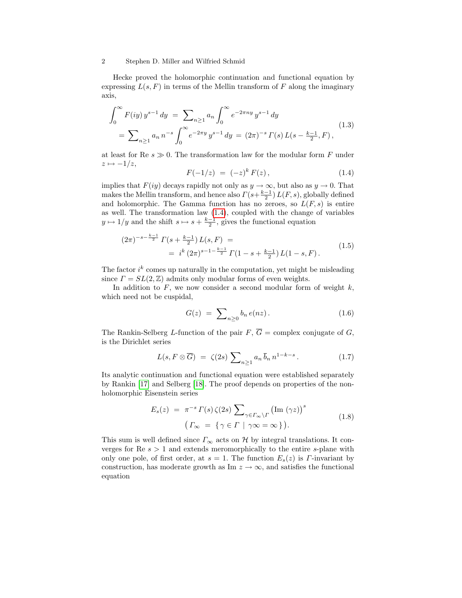Hecke proved the holomorphic continuation and functional equation by expressing  $L(s, F)$  in terms of the Mellin transform of F along the imaginary axis,

<span id="page-1-3"></span>
$$
\int_0^\infty F(iy) y^{s-1} dy = \sum_{n\geq 1} a_n \int_0^\infty e^{-2\pi ny} y^{s-1} dy
$$
  
= 
$$
\sum_{n\geq 1} a_n n^{-s} \int_0^\infty e^{-2\pi y} y^{s-1} dy = (2\pi)^{-s} \Gamma(s) L(s - \frac{k-1}{2}, F),
$$
 (1.3)

at least for Re  $s \gg 0$ . The transformation law for the modular form F under  $z \mapsto -1/z$ ,

<span id="page-1-0"></span>
$$
F(-1/z) = (-z)^k F(z), \qquad (1.4)
$$

implies that  $F(iy)$  decays rapidly not only as  $y \to \infty$ , but also as  $y \to 0$ . That makes the Mellin transform, and hence also  $\Gamma(s+\frac{k-1}{2})$   $L(F, s)$ , globally defined and holomorphic. The Gamma function has no zeroes, so  $L(F, s)$  is entire as well. The transformation law [\(1.4\)](#page-1-0), coupled with the change of variables  $y \mapsto 1/y$  and the shift  $s \mapsto s + \frac{k-1}{2}$ , gives the functional equation

<span id="page-1-4"></span>
$$
(2\pi)^{-s-\frac{k-1}{2}} \Gamma(s+\frac{k-1}{2}) L(s, F) =
$$
  
=  $i^k (2\pi)^{s-1-\frac{k-1}{2}} \Gamma(1-s+\frac{k-1}{2}) L(1-s, F).$  (1.5)

The factor  $i^k$  comes up naturally in the computation, yet might be misleading since  $\Gamma = SL(2, \mathbb{Z})$  admits only modular forms of even weights.

In addition to  $F$ , we now consider a second modular form of weight  $k$ , which need not be cuspidal,

<span id="page-1-2"></span>
$$
G(z) = \sum_{n\geq 0} b_n e(nz). \qquad (1.6)
$$

The Rankin-Selberg L-function of the pair  $F, \overline{G} =$  complex conjugate of G, is the Dirichlet series

$$
L(s, F \otimes \overline{G}) = \zeta(2s) \sum_{n \ge 1} a_n \overline{b}_n n^{1-k-s} . \qquad (1.7)
$$

Its analytic continuation and functional equation were established separately by Rankin [\[17\]](#page-37-1) and Selberg [\[18\]](#page-37-2). The proof depends on properties of the nonholomorphic Eisenstein series

<span id="page-1-1"></span>
$$
E_s(z) = \pi^{-s} \Gamma(s) \zeta(2s) \sum_{\gamma \in \Gamma_{\infty} \backslash \Gamma} (\text{Im } (\gamma z))^s
$$
  

$$
\left( \Gamma_{\infty} = \{ \gamma \in \Gamma \mid \gamma \infty = \infty \} \right).
$$
 (1.8)

This sum is well defined since  $\Gamma_{\infty}$  acts on H by integral translations. It converges for  $\text{Re } s > 1$  and extends meromorphically to the entire s-plane with only one pole, of first order, at  $s = 1$ . The function  $E_s(z)$  is  $\Gamma$ -invariant by construction, has moderate growth as Im  $z \to \infty$ , and satisfies the functional equation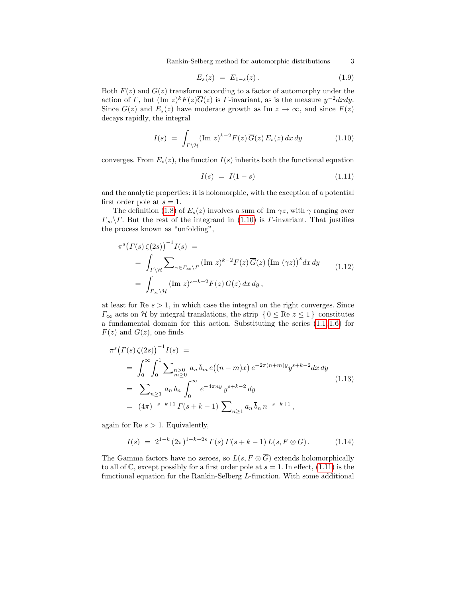Rankin-Selberg method for automorphic distributions 3

$$
E_s(z) = E_{1-s}(z). \tag{1.9}
$$

Both  $F(z)$  and  $G(z)$  transform according to a factor of automorphy under the action of  $\Gamma$ , but  $(\text{Im } z)^k F(z) \overline{G}(z)$  is  $\Gamma$ -invariant, as is the measure  $y^{-2} dx dy$ . Since  $G(z)$  and  $E_s(z)$  have moderate growth as Im  $z \to \infty$ , and since  $F(z)$ decays rapidly, the integral

<span id="page-2-0"></span>
$$
I(s) = \int_{\Gamma \backslash \mathcal{H}} (\text{Im } z)^{k-2} F(z) \, \overline{G}(z) \, E_s(z) \, dx \, dy \tag{1.10}
$$

converges. From  $E_s(z)$ , the function  $I(s)$  inherits both the functional equation

<span id="page-2-1"></span>
$$
I(s) = I(1 - s) \tag{1.11}
$$

and the analytic properties: it is holomorphic, with the exception of a potential first order pole at  $s = 1$ .

The definition [\(1.8\)](#page-1-1) of  $E_s(z)$  involves a sum of Im  $\gamma z$ , with  $\gamma$  ranging over  $\Gamma_{\infty}\backslash\Gamma$ . But the rest of the integrand in [\(1.10\)](#page-2-0) is  $\Gamma$ -invariant. That justifies the process known as "unfolding",

$$
\pi^{s} \big( \Gamma(s) \zeta(2s) \big)^{-1} I(s) =
$$
\n
$$
= \int_{\Gamma \backslash \mathcal{H}} \sum_{\gamma \in \Gamma_{\infty} \backslash \Gamma} (\text{Im } z)^{k-2} F(z) \overline{G}(z) \big( \text{Im } (\gamma z) \big)^{s} dx dy
$$
\n
$$
= \int_{\Gamma_{\infty} \backslash \mathcal{H}} (\text{Im } z)^{s+k-2} F(z) \overline{G}(z) dx dy, \qquad (1.12)
$$

at least for  $\text{Re } s > 1$ , in which case the integral on the right converges. Since  $\Gamma_{\infty}$  acts on H by integral translations, the strip  $\{0 \leq \text{Re } z \leq 1\}$  constitutes a fundamental domain for this action. Substituting the series [\(1.1,](#page-0-0) [1.6\)](#page-1-2) for  $F(z)$  and  $G(z)$ , one finds

<span id="page-2-2"></span>
$$
\pi^{s} \left(\Gamma(s) \zeta(2s)\right)^{-1} I(s) =
$$
\n
$$
= \int_{0}^{\infty} \int_{0}^{1} \sum_{m \geq 0} a_{n} \bar{b}_{m} e\left((n-m)x\right) e^{-2\pi (n+m)y} y^{s+k-2} dx dy
$$
\n
$$
= \sum_{n \geq 1} a_{n} \bar{b}_{n} \int_{0}^{\infty} e^{-4\pi ny} y^{s+k-2} dy
$$
\n
$$
= (4\pi)^{-s-k+1} \Gamma(s+k-1) \sum_{n \geq 1} a_{n} \bar{b}_{n} n^{-s-k+1},
$$
\n(1.13)

again for Re  $s > 1$ . Equivalently,

$$
I(s) = 2^{1-k} (2\pi)^{1-k-2s} \Gamma(s) \Gamma(s+k-1) L(s, F \otimes \overline{G}). \tag{1.14}
$$

The Gamma factors have no zeroes, so  $L(s, F \otimes \overline{G})$  extends holomorphically to all of  $\mathbb{C}$ , except possibly for a first order pole at  $s = 1$ . In effect, [\(1.11\)](#page-2-1) is the functional equation for the Rankin-Selberg L-function. With some additional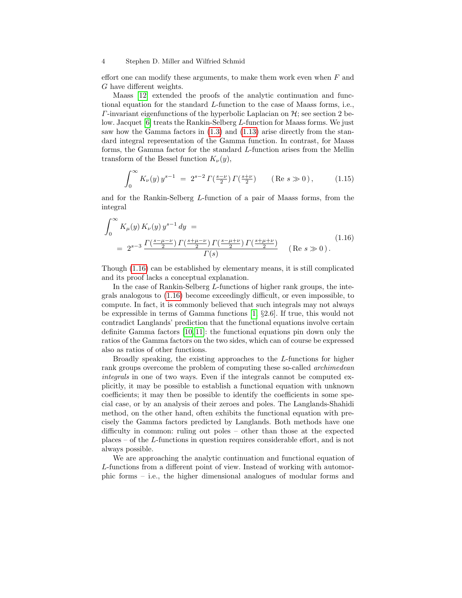effort one can modify these arguments, to make them work even when  $F$  and G have different weights.

Maass [\[12\]](#page-37-3) extended the proofs of the analytic continuation and functional equation for the standard L-function to the case of Maass forms, i.e.,  $\Gamma$ -invariant eigenfunctions of the hyperbolic Laplacian on  $\mathcal{H}$ ; see section 2 below. Jacquet [\[6\]](#page-36-0) treats the Rankin-Selberg L-function for Maass forms. We just saw how the Gamma factors in [\(1.3\)](#page-1-3) and [\(1.13\)](#page-2-2) arise directly from the standard integral representation of the Gamma function. In contrast, for Maass forms, the Gamma factor for the standard L-function arises from the Mellin transform of the Bessel function  $K_{\nu}(y)$ ,

$$
\int_0^\infty K_\nu(y) \, y^{s-1} \ = \ 2^{s-2} \, \Gamma\left(\frac{s-\nu}{2}\right) \, \Gamma\left(\frac{s+\nu}{2}\right) \qquad \left(\text{Re } s \gg 0\right),\tag{1.15}
$$

and for the Rankin-Selberg L-function of a pair of Maass forms, from the integral

<span id="page-3-0"></span>
$$
\int_0^\infty K_\mu(y) K_\nu(y) y^{s-1} dy =
$$
\n
$$
= 2^{s-3} \frac{\Gamma(\frac{s-\mu-\nu}{2}) \Gamma(\frac{s+\mu-\nu}{2}) \Gamma(\frac{s-\mu+\nu}{2}) \Gamma(\frac{s+\mu+\nu}{2})}{\Gamma(s)} \quad (\text{Re } s \gg 0).
$$
\n(1.16)

Though [\(1.16\)](#page-3-0) can be established by elementary means, it is still complicated and its proof lacks a conceptual explanation.

In the case of Rankin-Selberg L-functions of higher rank groups, the integrals analogous to [\(1.16\)](#page-3-0) become exceedingly difficult, or even impossible, to compute. In fact, it is commonly believed that such integrals may not always be expressible in terms of Gamma functions [\[1,](#page-36-1) §2.6]. If true, this would not contradict Langlands' prediction that the functional equations involve certain definite Gamma factors [\[10,](#page-37-4) [11\]](#page-37-5): the functional equations pin down only the ratios of the Gamma factors on the two sides, which can of course be expressed also as ratios of other functions.

Broadly speaking, the existing approaches to the L-functions for higher rank groups overcome the problem of computing these so-called *archimedean* integrals in one of two ways. Even if the integrals cannot be computed explicitly, it may be possible to establish a functional equation with unknown coefficients; it may then be possible to identify the coefficients in some special case, or by an analysis of their zeroes and poles. The Langlands-Shahidi method, on the other hand, often exhibits the functional equation with precisely the Gamma factors predicted by Langlands. Both methods have one difficulty in common: ruling out poles – other than those at the expected places – of the L-functions in question requires considerable effort, and is not always possible.

We are approaching the analytic continuation and functional equation of L-functions from a different point of view. Instead of working with automorphic forms – i.e., the higher dimensional analogues of modular forms and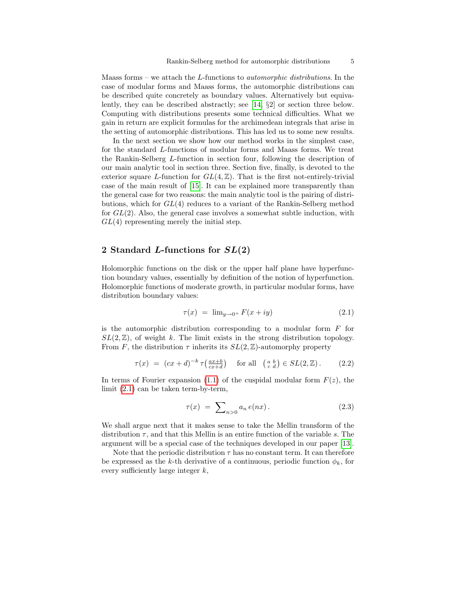Maass forms – we attach the L-functions to automorphic distributions. In the case of modular forms and Maass forms, the automorphic distributions can be described quite concretely as boundary values. Alternatively but equivalently, they can be described abstractly; see [\[14,](#page-37-6) §2] or section three below. Computing with distributions presents some technical difficulties. What we gain in return are explicit formulas for the archimedean integrals that arise in the setting of automorphic distributions. This has led us to some new results.

In the next section we show how our method works in the simplest case, for the standard L-functions of modular forms and Maass forms. We treat the Rankin-Selberg L-function in section four, following the description of our main analytic tool in section three. Section five, finally, is devoted to the exterior square L-function for  $GL(4,\mathbb{Z})$ . That is the first not-entirely-trivial case of the main result of [\[15\]](#page-37-0). It can be explained more transparently than the general case for two reasons: the main analytic tool is the pairing of distributions, which for GL(4) reduces to a variant of the Rankin-Selberg method for  $GL(2)$ . Also, the general case involves a somewhat subtle induction, with  $GL(4)$  representing merely the initial step.

# <span id="page-4-2"></span>2 Standard L-functions for  $SL(2)$

Holomorphic functions on the disk or the upper half plane have hyperfunction boundary values, essentially by definition of the notion of hyperfunction. Holomorphic functions of moderate growth, in particular modular forms, have distribution boundary values:

<span id="page-4-0"></span>
$$
\tau(x) = \lim_{y \to 0^+} F(x + iy) \tag{2.1}
$$

is the automorphic distribution corresponding to a modular form  $F$  for  $SL(2,\mathbb{Z})$ , of weight k. The limit exists in the strong distribution topology. From F, the distribution  $\tau$  inherits its  $SL(2,\mathbb{Z})$ -automorphy property

<span id="page-4-1"></span>
$$
\tau(x) = (cx+d)^{-k} \tau\left(\frac{ax+b}{cx+d}\right) \quad \text{for all} \quad \begin{pmatrix} a & b \\ c & d \end{pmatrix} \in SL(2, \mathbb{Z}). \tag{2.2}
$$

In terms of Fourier expansion [\(1.1\)](#page-0-0) of the cuspidal modular form  $F(z)$ , the limit [\(2.1\)](#page-4-0) can be taken term-by-term,

$$
\tau(x) = \sum_{n>0} a_n e(nx). \tag{2.3}
$$

We shall argue next that it makes sense to take the Mellin transform of the distribution  $\tau$ , and that this Mellin is an entire function of the variable s. The argument will be a special case of the techniques developed in our paper [\[13\]](#page-37-7).

Note that the periodic distribution  $\tau$  has no constant term. It can therefore be expressed as the k-th derivative of a continuous, periodic function  $\phi_k$ , for every sufficiently large integer  $k$ ,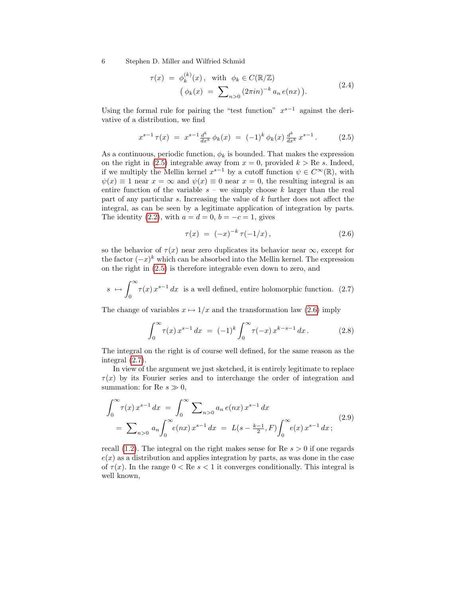<span id="page-5-4"></span>
$$
\tau(x) = \phi_k^{(k)}(x), \quad \text{with} \quad \phi_k \in C(\mathbb{R}/\mathbb{Z})
$$

$$
\left(\phi_k(x) = \sum_{n>0} (2\pi i n)^{-k} a_n e(nx)\right).
$$
\n(2.4)

Using the formal rule for pairing the "test function"  $x^{s-1}$  against the derivative of a distribution, we find

<span id="page-5-0"></span>
$$
x^{s-1} \tau(x) = x^{s-1} \frac{d^k}{dx^k} \phi_k(x) = (-1)^k \phi_k(x) \frac{d^k}{dx^k} x^{s-1}.
$$
 (2.5)

As a continuous, periodic function,  $\phi_k$  is bounded. That makes the expression on the right in [\(2.5\)](#page-5-0) integrable away from  $x = 0$ , provided  $k > \text{Re } s$ . Indeed, if we multiply the Mellin kernel  $x^{s-1}$  by a cutoff function  $\psi \in C^{\infty}(\mathbb{R})$ , with  $\psi(x) \equiv 1$  near  $x = \infty$  and  $\psi(x) \equiv 0$  near  $x = 0$ , the resulting integral is an entire function of the variable  $s$  – we simply choose k larger than the real part of any particular s. Increasing the value of k further does not affect the integral, as can be seen by a legitimate application of integration by parts. The identity [\(2.2\)](#page-4-1), with  $a = d = 0$ ,  $b = -c = 1$ , gives

<span id="page-5-1"></span>
$$
\tau(x) = (-x)^{-k} \tau(-1/x), \qquad (2.6)
$$

so the behavior of  $\tau(x)$  near zero duplicates its behavior near  $\infty$ , except for the factor  $(-x)^k$  which can be absorbed into the Mellin kernel. The expression on the right in [\(2.5\)](#page-5-0) is therefore integrable even down to zero, and

<span id="page-5-2"></span>
$$
s \mapsto \int_0^\infty \tau(x) x^{s-1} dx
$$
 is a well defined, entire holomorphic function. (2.7)

The change of variables  $x \mapsto 1/x$  and the transformation law [\(2.6\)](#page-5-1) imply

$$
\int_0^\infty \tau(x) x^{s-1} dx = (-1)^k \int_0^\infty \tau(-x) x^{k-s-1} dx.
$$
 (2.8)

The integral on the right is of course well defined, for the same reason as the integral [\(2.7\)](#page-5-2).

In view of the argument we just sketched, it is entirely legitimate to replace  $\tau(x)$  by its Fourier series and to interchange the order of integration and summation: for Re  $s \gg 0$ ,

<span id="page-5-3"></span>
$$
\int_0^\infty \tau(x) x^{s-1} dx = \int_0^\infty \sum_{n>0} a_n e(nx) x^{s-1} dx
$$
  
=  $\sum_{n>0} a_n \int_0^\infty e(nx) x^{s-1} dx = L(s - \frac{k-1}{2}, F) \int_0^\infty e(x) x^{s-1} dx;$  (2.9)

recall  $(1.2)$ . The integral on the right makes sense for Re  $s > 0$  if one regards  $e(x)$  as a distribution and applies integration by parts, as was done in the case of  $\tau(x)$ . In the range  $0 < \text{Re } s < 1$  it converges conditionally. This integral is well known,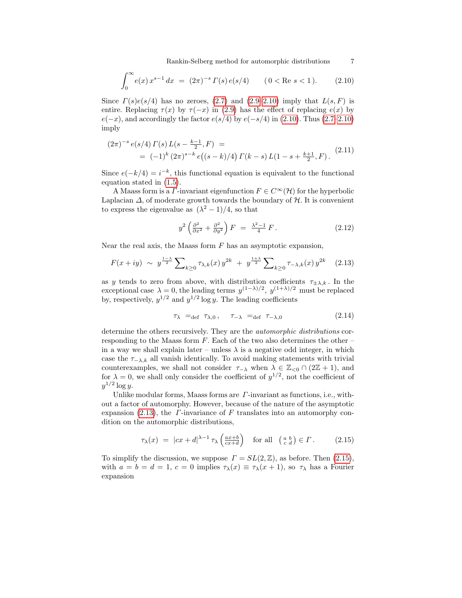Rankin-Selberg method for automorphic distributions 7

<span id="page-6-0"></span>
$$
\int_0^\infty e(x) x^{s-1} dx = (2\pi)^{-s} \Gamma(s) e(s/4) \qquad (0 < \text{Re } s < 1). \tag{2.10}
$$

Since  $\Gamma(s)e(s/4)$  has no zeroes, [\(2.7\)](#page-5-2) and [\(2.9–](#page-5-3)[2.10\)](#page-6-0) imply that  $L(s, F)$  is entire. Replacing  $\tau(x)$  by  $\tau(-x)$  in [\(2.9\)](#page-5-3) has the effect of replacing  $e(x)$  by  $e(-x)$ , and accordingly the factor  $e(s/4)$  by  $e(-s/4)$  in [\(2.10\)](#page-6-0). Thus [\(2.7–](#page-5-2)[2.10\)](#page-6-0) imply

$$
(2\pi)^{-s} e(s/4) \Gamma(s) L(s - \frac{k-1}{2}, F) =
$$
  
=  $(-1)^k (2\pi)^{s-k} e((s-k)/4) \Gamma(k-s) L(1-s + \frac{k+1}{2}, F).$  (2.11)

Since  $e(-k/4) = i^{-k}$ , this functional equation is equivalent to the functional equation stated in [\(1.5\)](#page-1-4).

A Maass form is a  $\Gamma$ -invariant eigenfunction  $F \in C^{\infty}(\mathcal{H})$  for the hyperbolic Laplacian  $\Delta$ , of moderate growth towards the boundary of  $\mathcal{H}$ . It is convenient to express the eigenvalue as  $(\lambda^2 - 1)/4$ , so that

$$
y^2 \left(\frac{\partial^2}{\partial x^2} + \frac{\partial^2}{\partial y^2}\right) F = \frac{\lambda^2 - 1}{4} F. \tag{2.12}
$$

Near the real axis, the Maass form  $F$  has an asymptotic expansion,

<span id="page-6-1"></span>
$$
F(x+iy) \sim y^{\frac{1-\lambda}{2}} \sum_{k\geq 0} \tau_{\lambda,k}(x) y^{2k} + y^{\frac{1+\lambda}{2}} \sum_{k\geq 0} \tau_{-\lambda,k}(x) y^{2k} \quad (2.13)
$$

as y tends to zero from above, with distribution coefficients  $\tau_{\pm\lambda,k}$ . In the exceptional case  $\lambda = 0$ , the leading terms  $y^{(1-\lambda)/2}$ ,  $y^{(1+\lambda)/2}$  must be replaced by, respectively,  $y^{1/2}$  and  $y^{1/2}$  log y. The leading coefficients

$$
\tau_{\lambda} =_{\text{def}} \tau_{\lambda,0}, \quad \tau_{-\lambda} =_{\text{def}} \tau_{-\lambda,0} \tag{2.14}
$$

determine the others recursively. They are the automorphic distributions corresponding to the Maass form  $F$ . Each of the two also determines the other – in a way we shall explain later – unless  $\lambda$  is a negative odd integer, in which case the  $\tau_{-\lambda,k}$  all vanish identically. To avoid making statements with trivial counterexamples, we shall not consider  $\tau_{-\lambda}$  when  $\lambda \in \mathbb{Z}_{\leq 0} \cap (2\mathbb{Z} + 1)$ , and for  $\lambda = 0$ , we shall only consider the coefficient of  $y^{1/2}$ , not the coefficient of  $y^{1/2}$  log y.

Unlike modular forms, Maass forms are  $\Gamma$ -invariant as functions, i.e., without a factor of automorphy. However, because of the nature of the asymptotic expansion [\(2.13\)](#page-6-1), the  $\Gamma$ -invariance of F translates into an automorphy condition on the automorphic distributions,

<span id="page-6-2"></span>
$$
\tau_{\lambda}(x) = |cx + d|^{\lambda - 1} \tau_{\lambda} \left( \frac{ax + b}{cx + d} \right) \quad \text{for all} \quad \begin{pmatrix} a & b \\ c & d \end{pmatrix} \in \Gamma. \tag{2.15}
$$

To simplify the discussion, we suppose  $\Gamma = SL(2, \mathbb{Z})$ , as before. Then [\(2.15\)](#page-6-2), with  $a = b = d = 1, c = 0$  implies  $\tau_{\lambda}(x) \equiv \tau_{\lambda}(x+1)$ , so  $\tau_{\lambda}$  has a Fourier expansion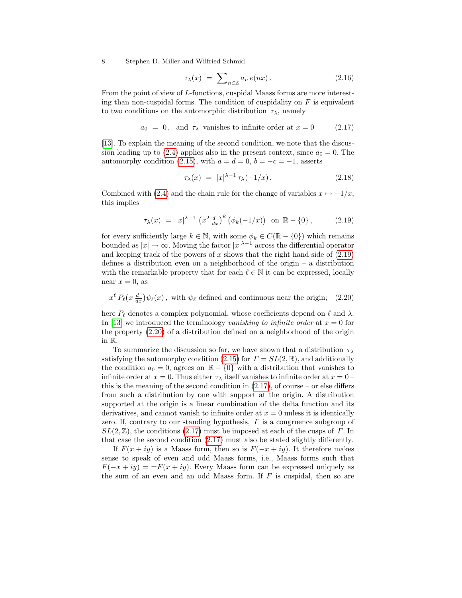<span id="page-7-3"></span>
$$
\tau_{\lambda}(x) = \sum_{n \in \mathbb{Z}} a_n e(nx). \tag{2.16}
$$

From the point of view of L-functions, cuspidal Maass forms are more interesting than non-cuspidal forms. The condition of cuspidality on  $F$  is equivalent to two conditions on the automorphic distribution  $\tau_{\lambda}$ , namely

<span id="page-7-2"></span> $a_0 = 0$ , and  $\tau_\lambda$  vanishes to infinite order at  $x = 0$  (2.17)

[\[13\]](#page-37-7). To explain the meaning of the second condition, we note that the discus-sion leading up to [\(2.4\)](#page-5-4) applies also in the present context, since  $a_0 = 0$ . The automorphy condition [\(2.15\)](#page-6-2), with  $a = d = 0$ ,  $b = -c = -1$ , asserts

<span id="page-7-4"></span>
$$
\tau_{\lambda}(x) = |x|^{\lambda - 1} \tau_{\lambda}(-1/x). \qquad (2.18)
$$

Combined with [\(2.4\)](#page-5-4) and the chain rule for the change of variables  $x \mapsto -1/x$ , this implies

<span id="page-7-0"></span>
$$
\tau_{\lambda}(x) = |x|^{\lambda - 1} \left( x^2 \frac{d}{dx} \right)^k \left( \phi_k(-1/x) \right) \text{ on } \mathbb{R} - \{0\},\tag{2.19}
$$

for every sufficiently large  $k \in \mathbb{N}$ , with some  $\phi_k \in C(\mathbb{R} - \{0\})$  which remains bounded as  $|x| \to \infty$ . Moving the factor  $|x|^{\lambda-1}$  across the differential operator and keeping track of the powers of  $x$  shows that the right hand side of  $(2.19)$ defines a distribution even on a neighborhood of the origin – a distribution with the remarkable property that for each  $\ell \in \mathbb{N}$  it can be expressed, locally near  $x = 0$ , as

<span id="page-7-1"></span> $x^{\ell} P_{\ell}(x \frac{d}{dx}) \psi_{\ell}(x)$ , with  $\psi_{\ell}$  defined and continuous near the origin; (2.20)

here  $P_\ell$  denotes a complex polynomial, whose coefficients depend on  $\ell$  and  $\lambda$ . In [\[13\]](#page-37-7) we introduced the terminology vanishing to infinite order at  $x = 0$  for the property [\(2.20\)](#page-7-1) of a distribution defined on a neighborhood of the origin in R.

To summarize the discussion so far, we have shown that a distribution  $\tau_{\lambda}$ satisfying the automorphy condition [\(2.15\)](#page-6-2) for  $\Gamma = SL(2,\mathbb{R})$ , and additionally the condition  $a_0 = 0$ , agrees on  $\mathbb{R} - \{0\}$  with a distribution that vanishes to infinite order at  $x = 0$ . Thus either  $\tau_{\lambda}$  itself vanishes to infinite order at  $x = 0$ this is the meaning of the second condition in  $(2.17)$ , of course – or else differs from such a distribution by one with support at the origin. A distribution supported at the origin is a linear combination of the delta function and its derivatives, and cannot vanish to infinite order at  $x = 0$  unless it is identically zero. If, contrary to our standing hypothesis, Γ is a congruence subgroup of  $SL(2,\mathbb{Z})$ , the conditions [\(2.17\)](#page-7-2) must be imposed at each of the cusps of  $\Gamma$ . In that case the second condition [\(2.17\)](#page-7-2) must also be stated slightly differently.

If  $F(x + iy)$  is a Maass form, then so is  $F(-x + iy)$ . It therefore makes sense to speak of even and odd Maass forms, i.e., Maass forms such that  $F(-x+iy) = \pm F(x+iy)$ . Every Maass form can be expressed uniquely as the sum of an even and an odd Maass form. If  $F$  is cuspidal, then so are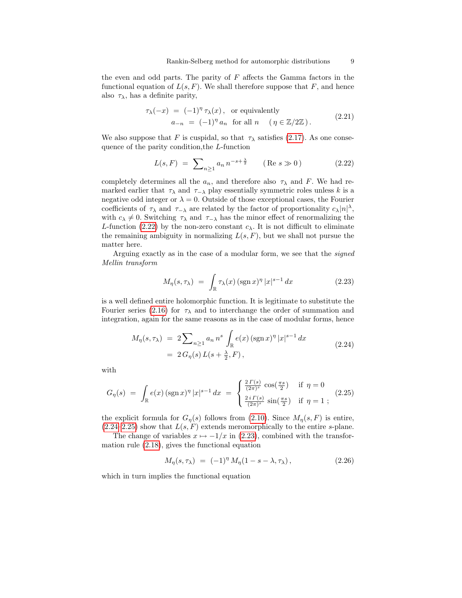the even and odd parts. The parity of  $F$  affects the Gamma factors in the functional equation of  $L(s, F)$ . We shall therefore suppose that F, and hence also  $\tau_{\lambda}$ , has a definite parity,

<span id="page-8-4"></span>
$$
\tau_{\lambda}(-x) = (-1)^{\eta} \tau_{\lambda}(x), \text{ or equivalently}
$$
  
\n
$$
a_{-n} = (-1)^{\eta} a_n \text{ for all } n \quad (\eta \in \mathbb{Z}/2\mathbb{Z}).
$$
\n(2.21)

We also suppose that F is cuspidal, so that  $\tau_{\lambda}$  satisfies [\(2.17\)](#page-7-2). As one consequence of the parity condition,the L-function

<span id="page-8-0"></span>
$$
L(s, F) = \sum_{n \ge 1} a_n n^{-s + \frac{\lambda}{2}} \qquad (\text{Re } s \gg 0)
$$
 (2.22)

completely determines all the  $a_n$ , and therefore also  $\tau_\lambda$  and F. We had remarked earlier that  $\tau_{\lambda}$  and  $\tau_{-\lambda}$  play essentially symmetric roles unless k is a negative odd integer or  $\lambda = 0$ . Outside of those exceptional cases, the Fourier coefficients of  $\tau_{\lambda}$  and  $\tau_{-\lambda}$  are related by the factor of proportionality  $c_{\lambda}|n|^{\lambda}$ , with  $c_{\lambda} \neq 0$ . Switching  $\tau_{\lambda}$  and  $\tau_{-\lambda}$  has the minor effect of renormalizing the L-function [\(2.22\)](#page-8-0) by the non-zero constant  $c_{\lambda}$ . It is not difficult to eliminate the remaining ambiguity in normalizing  $L(s, F)$ , but we shall not pursue the matter here.

Arguing exactly as in the case of a modular form, we see that the signed Mellin transform

<span id="page-8-3"></span>
$$
M_{\eta}(s,\tau_{\lambda}) = \int_{\mathbb{R}} \tau_{\lambda}(x) (\operatorname{sgn} x)^{\eta} |x|^{s-1} dx \qquad (2.23)
$$

is a well defined entire holomorphic function. It is legitimate to substitute the Fourier series [\(2.16\)](#page-7-3) for  $\tau_{\lambda}$  and to interchange the order of summation and integration, again for the same reasons as in the case of modular forms, hence

<span id="page-8-1"></span>
$$
M_{\eta}(s,\tau_{\lambda}) = 2 \sum_{n \ge 1} a_n n^s \int_{\mathbb{R}} e(x) (\operatorname{sgn} x)^{\eta} |x|^{s-1} dx
$$
  
= 2 G\_{\eta}(s) L(s + \frac{\lambda}{2}, F), (2.24)

with

<span id="page-8-2"></span>
$$
G_{\eta}(s) = \int_{\mathbb{R}} e(x) (\operatorname{sgn} x)^{\eta} |x|^{s-1} dx = \begin{cases} \frac{2 \Gamma(s)}{(2\pi)^s} \cos(\frac{\pi s}{2}) & \text{if } \eta = 0\\ \frac{2 i \Gamma(s)}{(2\pi)^s} \sin(\frac{\pi s}{2}) & \text{if } \eta = 1 \end{cases}
$$
(2.25)

the explicit formula for  $G_{\eta}(s)$  follows from [\(2.10\)](#page-6-0). Since  $M_{\eta}(s, F)$  is entire,  $(2.24-2.25)$  $(2.24-2.25)$  show that  $L(s, F)$  extends meromorphically to the entire s-plane.

The change of variables  $x \mapsto -1/x$  in [\(2.23\)](#page-8-3), combined with the transformation rule [\(2.18\)](#page-7-4), gives the functional equation

$$
M_{\eta}(s,\tau_{\lambda}) = (-1)^{\eta} M_{\eta}(1 - s - \lambda, \tau_{\lambda}), \qquad (2.26)
$$

which in turn implies the functional equation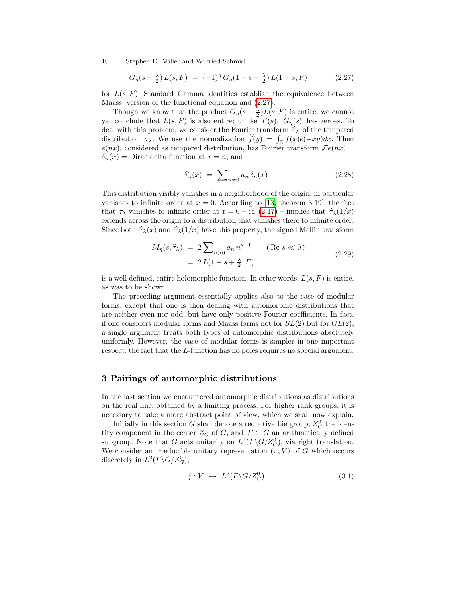<span id="page-9-0"></span>
$$
G_{\eta}(s - \frac{\lambda}{2}) L(s, F) = (-1)^{\eta} G_{\eta}(1 - s - \frac{\lambda}{2}) L(1 - s, F) \qquad (2.27)
$$

for  $L(s, F)$ . Standard Gamma identities establish the equivalence between Maass' version of the functional equation and [\(2.27\)](#page-9-0).

Though we know that the product  $G_{\eta}(s - \frac{\lambda}{2})L(s, F)$  is entire, we cannot yet conclude that  $L(s, F)$  is also entire: unlike  $\Gamma(s)$ ,  $G_n(s)$  has zeroes. To deal with this problem, we consider the Fourier transform  $\hat{\tau}_{\lambda}$  of the tempered distribution  $\tau_{\lambda}$ . We use the normalization  $f(y) = \int_{\mathbb{R}} f(x)e(-xy)dx$ . Then  $e(nx)$ , considered as tempered distribution, has Fourier transform  $\mathcal{F}e(nx)$  =  $\delta_n(x)$  = Dirac delta function at  $x = n$ , and

$$
\widehat{\tau}_{\lambda}(x) = \sum_{n \neq 0} a_n \,\delta_n(x). \tag{2.28}
$$

This distribution visibly vanishes in a neighborhood of the origin, in particular vanishes to infinite order at  $x = 0$ . According to [\[13,](#page-37-7) theorem 3.19], the fact that  $\tau_{\lambda}$  vanishes to infinite order at  $x = 0$  – cf. [\(2.17\)](#page-7-2) – implies that  $\hat{\tau}_{\lambda}(1/x)$ extends across the origin to a distribution that vanishes there to infinite order. Since both  $\hat{\tau}_{\lambda}(x)$  and  $\hat{\tau}_{\lambda}(1/x)$  have this property, the signed Mellin transform

$$
M_{\eta}(s,\hat{\tau}_{\lambda}) = 2 \sum_{n>0} a_n n^{s-1} \qquad (\text{Re } s \ll 0)
$$
  
= 2L(1 - s +  $\frac{\lambda}{2}$ , F) (2.29)

is a well defined, entire holomorphic function. In other words,  $L(s, F)$  is entire, as was to be shown.

The preceding argument essentially applies also to the case of modular forms, except that one is then dealing with automorphic distributions that are neither even nor odd, but have only positive Fourier coefficients. In fact, if one considers modular forms and Maass forms not for  $SL(2)$  but for  $GL(2)$ , a single argument treats both types of automorphic distributions absolutely uniformly. However, the case of modular forms is simpler in one important respect: the fact that the L-function has no poles requires no special argument.

### <span id="page-9-2"></span>3 Pairings of automorphic distributions

In the last section we encountered automorphic distributions as distributions on the real line, obtained by a limiting process. For higher rank groups, it is necessary to take a more abstract point of view, which we shall now explain.

Initially in this section  $G$  shall denote a reductive Lie group,  $Z_G^0$  the identity component in the center  $Z_G$  of G, and  $\Gamma \subset G$  an arithmetically defined subgroup. Note that G acts unitarily on  $L^2(\Gamma \backslash G/Z_G^0)$ , via right translation. We consider an irreducible unitary representation  $(\pi, V)$  of G which occurs discretely in  $L^2(\Gamma \backslash G/Z_G^0)$ ,

<span id="page-9-1"></span>
$$
j: V \hookrightarrow L^2(\Gamma \backslash G/Z_G^0). \tag{3.1}
$$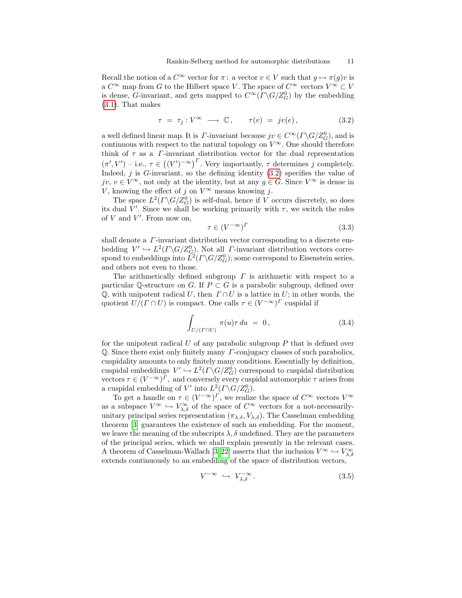Recall the notion of a  $C^{\infty}$  vector for  $\pi$ : a vector  $v \in V$  such that  $g \mapsto \pi(g)v$  is a  $C^{\infty}$  map from G to the Hilbert space V. The space of  $C^{\infty}$  vectors  $V^{\infty} \subset V$ is dense, G-invariant, and gets mapped to  $C^{\infty}(\Gamma \backslash G/Z_G^0)$  by the embedding [\(3.1\)](#page-9-1). That makes

<span id="page-10-0"></span>
$$
\tau = \tau_j : V^{\infty} \longrightarrow \mathbb{C}, \qquad \tau(v) = jv(e), \tag{3.2}
$$

a well defined linear map. It is  $\varGamma$ -invariant because  $jv \in C^\infty(\varGamma \backslash G/Z_G^0)$ , and is continuous with respect to the natural topology on  $V^{\infty}$ . One should therefore think of  $\tau$  as a *Γ*-invariant distribution vector for the dual representation  $(\pi', V')$  – i.e.,  $\tau \in ((V')^{-\infty})^{\Gamma}$ . Very importantly,  $\tau$  determines j completely. Indeed,  $j$  is  $G$ -invariant, so the defining identity  $(3.2)$  specifies the value of jv,  $v \in V^{\infty}$ , not only at the identity, but at any  $g \in G$ . Since  $V^{\infty}$  is dense in V, knowing the effect of j on  $V^{\infty}$  means knowing j.

The space  $L^2(\Gamma \backslash G/Z_G^0)$  is self-dual, hence if V occurs discretely, so does its dual V'. Since we shall be working primarily with  $\tau$ , we switch the roles of  $V$  and  $V'$ . From now on,

$$
\tau \in (V^{-\infty})^{\Gamma} \tag{3.3}
$$

shall denote a  $\Gamma$ -invariant distribution vector corresponding to a discrete embedding  $V' \hookrightarrow L^2(\Gamma \backslash G/Z_G^0)$ . Not all *Γ*-invariant distribution vectors correspond to embeddings into  $L^2(\Gamma \backslash G/Z_G^0)$ ; some correspond to Eisenstein series, and others not even to those.

The arithmetically defined subgroup  $\Gamma$  is arithmetic with respect to a particular Q-structure on G. If  $P \subset G$  is a parabolic subgroup, defined over  $\mathbb Q$ , with unipotent radical U, then  $\Gamma \cap U$  is a lattice in U; in other words, the quotient  $U/(T \cap U)$  is compact. One calls  $\tau \in (V^{-\infty})^T$  cuspidal if

$$
\int_{U/(I\cap U)} \pi(u)\tau du = 0, \qquad (3.4)
$$

for the unipotent radical  $U$  of any parabolic subgroup  $P$  that is defined over Q. Since there exist only finitely many Γ-conjugacy classes of such parabolics, cuspidality amounts to only finitely many conditions. Essentially by definition, cuspidal embeddings  $V' \hookrightarrow L^2(\Gamma \backslash G/Z_G^0)$  correspond to cuspidal distribution vectors  $\tau \in (V^{-\infty})^{\Gamma}$ , and conversely every cuspidal automorphic  $\tau$  arises from a cuspidal embedding of V' into  $L^2(\Gamma \backslash G/Z_G^0)$ .

To get a handle on  $\tau \in (V^{-\infty})^{\Gamma}$ , we realize the space of  $C^{\infty}$  vectors  $V^{\infty}$ as a subspace  $V^{\infty} \hookrightarrow V^{\infty}_{\lambda,\delta}$  of the space of  $C^{\infty}$  vectors for a not-necessarilyunitary principal series representation  $(\pi_{\lambda,\delta}, V_{\lambda,\delta})$ . The Casselman embedding theorem [\[3\]](#page-36-2) guarantees the existence of such an embedding. For the moment, we leave the meaning of the subscripts  $\lambda$ ,  $\delta$  undefined. They are the parameters of the principal series, which we shall explain presently in the relevant cases. A theorem of Casselman-Wallach [\[3,](#page-36-2)22] asserts that the inclusion  $V^{\infty} \hookrightarrow V_{\lambda,\delta}^{\infty}$ extends continuously to an embedding of the space of distribution vectors,

$$
V^{-\infty} \hookrightarrow V_{\lambda,\delta}^{-\infty}.
$$
\n(3.5)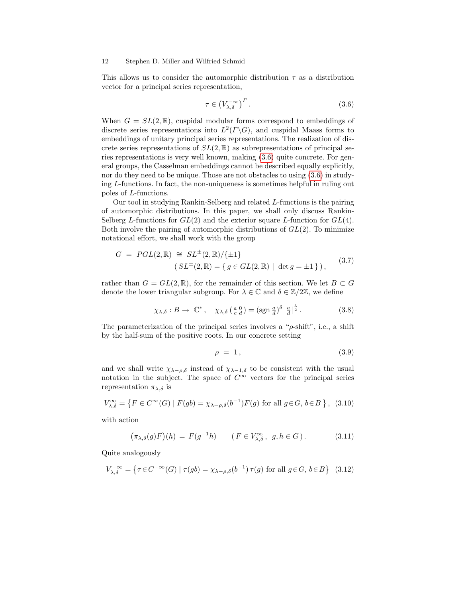This allows us to consider the automorphic distribution  $\tau$  as a distribution vector for a principal series representation,

<span id="page-11-0"></span>
$$
\tau \in \left(V_{\lambda,\delta}^{-\infty}\right)^{\Gamma}.
$$
\n(3.6)

When  $G = SL(2, \mathbb{R})$ , cuspidal modular forms correspond to embeddings of discrete series representations into  $L^2(\Gamma \backslash G)$ , and cuspidal Maass forms to embeddings of unitary principal series representations. The realization of discrete series representations of  $SL(2,\mathbb{R})$  as subrepresentations of principal series representations is very well known, making [\(3.6\)](#page-11-0) quite concrete. For general groups, the Casselman embeddings cannot be described equally explicitly, nor do they need to be unique. Those are not obstacles to using [\(3.6\)](#page-11-0) in studying L-functions. In fact, the non-uniqueness is sometimes helpful in ruling out poles of L-functions.

Our tool in studying Rankin-Selberg and related L-functions is the pairing of automorphic distributions. In this paper, we shall only discuss Rankin-Selberg L-functions for  $GL(2)$  and the exterior square L-function for  $GL(4)$ . Both involve the pairing of automorphic distributions of  $GL(2)$ . To minimize notational effort, we shall work with the group

$$
G = PGL(2, \mathbb{R}) \cong SL^{\pm}(2, \mathbb{R})/\{\pm 1\}
$$
  

$$
(SL^{\pm}(2, \mathbb{R}) = \{ g \in GL(2, \mathbb{R}) \mid \det g = \pm 1 \}),
$$
 (3.7)

rather than  $G = GL(2, \mathbb{R})$ , for the remainder of this section. We let  $B \subset G$ denote the lower triangular subgroup. For  $\lambda \in \mathbb{C}$  and  $\delta \in \mathbb{Z}/2\mathbb{Z}$ , we define

<span id="page-11-1"></span>
$$
\chi_{\lambda,\delta}: B \to \mathbb{C}^*, \quad \chi_{\lambda,\delta}\left(\begin{smallmatrix} a & 0 \\ c & d \end{smallmatrix}\right) = (\text{sgn}\,\frac{a}{d})^{\delta} \left| \frac{a}{d} \right|^{\frac{\lambda}{2}}.
$$
 (3.8)

The parameterization of the principal series involves a " $\rho$ -shift", i.e., a shift by the half-sum of the positive roots. In our concrete setting

$$
\rho = 1, \tag{3.9}
$$

and we shall write  $\chi_{\lambda-\rho,\delta}$  instead of  $\chi_{\lambda-1,\delta}$  to be consistent with the usual notation in the subject. The space of  $C^{\infty}$  vectors for the principal series representation  $\pi_{\lambda,\delta}$  is

<span id="page-11-2"></span>
$$
V_{\lambda,\delta}^{\infty} = \left\{ F \in C^{\infty}(G) \mid F(gb) = \chi_{\lambda-\rho,\delta}(b^{-1})F(g) \text{ for all } g \in G, b \in B \right\}, (3.10)
$$

with action

$$
(\pi_{\lambda,\delta}(g)F)(h) = F(g^{-1}h) \qquad (F \in V_{\lambda,\delta}^{\infty}, g, h \in G).
$$
 (3.11)

Quite analogously

<span id="page-11-3"></span>
$$
V_{\lambda,\delta}^{-\infty} = \left\{ \tau \in C^{-\infty}(G) \mid \tau(gb) = \chi_{\lambda-\rho,\delta}(b^{-1})\,\tau(g) \text{ for all } g \in G, \, b \in B \right\} \tag{3.12}
$$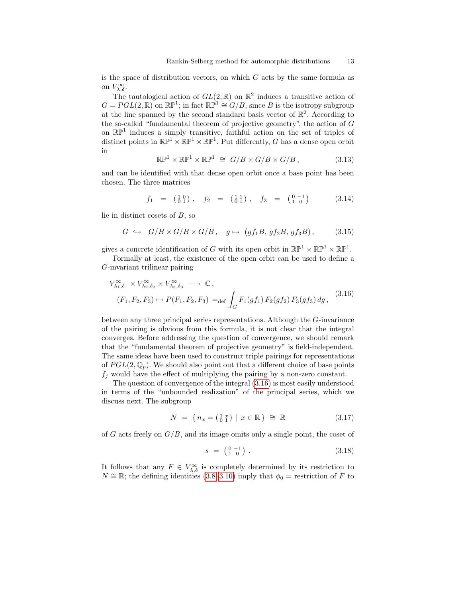is the space of distribution vectors, on which  $G$  acts by the same formula as on  $V_{\lambda,\delta}^{\infty}$ .

The tautological action of  $GL(2,\mathbb{R})$  on  $\mathbb{R}^2$  induces a transitive action of  $G = PGL(2, \mathbb{R})$  on  $\mathbb{RP}^1$ ; in fact  $\mathbb{RP}^1 \cong G/B$ , since B is the isotropy subgroup at the line spanned by the second standard basis vector of  $\mathbb{R}^2$ . According to the so-called "fundamental theorem of projective geometry", the action of  $G$ on  $\mathbb{RP}^1$  induces a simply transitive, faithful action on the set of triples of distinct points in  $\mathbb{RP}^1 \times \mathbb{RP}^1 \times \mathbb{RP}^1$ . Put differently, G has a dense open orbit in

$$
\mathbb{RP}^1 \times \mathbb{RP}^1 \times \mathbb{RP}^1 \cong G/B \times G/B \times G/B, \tag{3.13}
$$

and can be identified with that dense open orbit once a base point has been chosen. The three matrices

<span id="page-12-3"></span>
$$
f_1 = \begin{pmatrix} 1 & 0 \\ 0 & 1 \end{pmatrix}, \quad f_2 = \begin{pmatrix} 1 & 1 \\ 0 & 1 \end{pmatrix}, \quad f_3 = \begin{pmatrix} 0 & -1 \\ 1 & 0 \end{pmatrix} \tag{3.14}
$$

lie in distinct cosets of B, so

<span id="page-12-1"></span>
$$
G \hookrightarrow G/B \times G/B \times G/B, \quad g \mapsto (gf_1B, gf_2B, gf_3B), \tag{3.15}
$$

gives a concrete identification of G with its open orbit in  $\mathbb{RP}^1 \times \mathbb{RP}^1 \times \mathbb{RP}^1$ .

Formally at least, the existence of the open orbit can be used to define a G-invariant trilinear pairing

<span id="page-12-0"></span>
$$
V_{\lambda_1, \delta_1}^{\infty} \times V_{\lambda_2, \delta_2}^{\infty} \times V_{\lambda_3, \delta_3}^{\infty} \longrightarrow \mathbb{C},
$$
  
(F<sub>1</sub>, F<sub>2</sub>, F<sub>3</sub>)  $\mapsto P(F_1, F_2, F_3) =_{def} \int_G F_1(gf_1) F_2(gf_2) F_3(gf_3) dg,$  (3.16)

between any three principal series representations. Although the G-invariance of the pairing is obvious from this formula, it is not clear that the integral converges. Before addressing the question of convergence, we should remark that the "fundamental theorem of projective geometry" is field-independent. The same ideas have been used to construct triple pairings for representations of  $PGL(2,\mathbb{Q}_p)$ . We should also point out that a different choice of base points  $f_i$  would have the effect of multiplying the pairing by a non-zero constant.

The question of convergence of the integral [\(3.16\)](#page-12-0) is most easily understood in terms of the "unbounded realization" of the principal series, which we discuss next. The subgroup

<span id="page-12-4"></span>
$$
N = \{ n_x = \begin{pmatrix} 1 & x \\ 0 & 1 \end{pmatrix} \mid x \in \mathbb{R} \} \cong \mathbb{R} \tag{3.17}
$$

of G acts freely on  $G/B$ , and its image omits only a single point, the coset of

<span id="page-12-2"></span>
$$
s = \begin{pmatrix} 0 & -1 \\ 1 & 0 \end{pmatrix} . \tag{3.18}
$$

It follows that any  $F \in V_{\lambda,\delta}^{\infty}$  is completely determined by its restriction to  $N \cong \mathbb{R}$ ; the defining identities [\(3.8–](#page-11-1)[3.10\)](#page-11-2) imply that  $\phi_0 =$  restriction of F to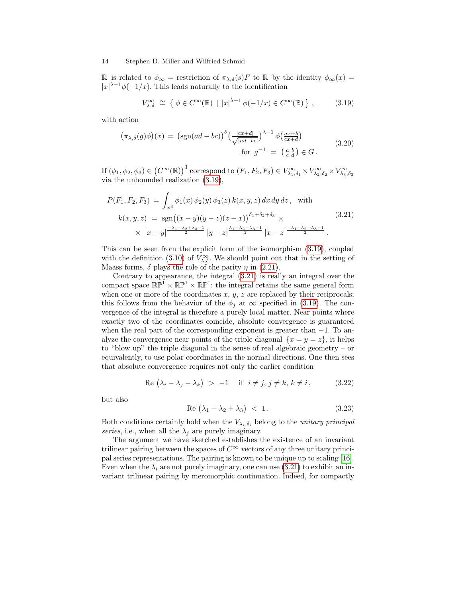R is related to  $\phi_{\infty}$  = restriction of  $\pi_{\lambda,\delta}(s)F$  to R by the identity  $\phi_{\infty}(x)$  =  $|x|^{\lambda-1}\phi(-1/x)$ . This leads naturally to the identification

<span id="page-13-0"></span>
$$
V_{\lambda,\delta}^{\infty} \cong \left\{ \phi \in C^{\infty}(\mathbb{R}) \mid |x|^{\lambda - 1} \phi(-1/x) \in C^{\infty}(\mathbb{R}) \right\},\qquad(3.19)
$$

with action

$$
\left(\pi_{\lambda,\delta}(g)\phi\right)(x) = \left(\text{sgn}(ad - bc)\right)^{\delta} \left(\frac{|cx+d|}{\sqrt{|ad - bc|}}\right)^{\lambda - 1} \phi\left(\frac{ax+b}{cx+d}\right)
$$
\n
$$
\text{for } g^{-1} = \left(\begin{smallmatrix} a & b \\ c & d \end{smallmatrix}\right) \in G. \tag{3.20}
$$

If  $(\phi_1, \phi_2, \phi_3) \in (C^{\infty}(\mathbb{R}))^3$  correspond to  $(F_1, F_2, F_3) \in V^{\infty}_{\lambda_1, \delta_1} \times V^{\infty}_{\lambda_2, \delta_2} \times V^{\infty}_{\lambda_3, \delta_3}$ via the unbounded realization [\(3.19\)](#page-13-0),

<span id="page-13-1"></span>
$$
P(F_1, F_2, F_3) = \int_{\mathbb{R}^3} \phi_1(x) \phi_2(y) \phi_3(z) k(x, y, z) dx dy dz, \text{ with}
$$
  
\n
$$
k(x, y, z) = \text{sgn}((x - y)(y - z)(z - x))^{\delta_1 + \delta_2 + \delta_3} \times \times |x - y|^{\frac{-\lambda_1 - \lambda_2 + \lambda_3 - 1}{2}} |y - z|^{\frac{\lambda_1 - \lambda_2 - \lambda_3 - 1}{2}} |x - z|^{\frac{-\lambda_1 + \lambda_2 - \lambda_3 - 1}{2}}.
$$
\n(3.21)

This can be seen from the explicit form of the isomorphism [\(3.19\)](#page-13-0), coupled with the definition [\(3.10\)](#page-11-2) of  $V_{\lambda,\delta}^{\infty}$ . We should point out that in the setting of Maass forms,  $\delta$  plays the role of the parity  $\eta$  in [\(2.21\)](#page-8-4).

Contrary to appearance, the integral [\(3.21\)](#page-13-1) is really an integral over the compact space  $\mathbb{RP}^1 \times \mathbb{RP}^1 \times \mathbb{RP}^1$ : the integral retains the same general form when one or more of the coordinates  $x, y, z$  are replaced by their reciprocals; this follows from the behavior of the  $\phi_j$  at  $\infty$  specified in [\(3.19\)](#page-13-0). The convergence of the integral is therefore a purely local matter. Near points where exactly two of the coordinates coincide, absolute convergence is guaranteed when the real part of the corresponding exponent is greater than  $-1$ . To analyze the convergence near points of the triple diagonal  $\{x = y = z\}$ , it helps to "blow up" the triple diagonal in the sense of real algebraic geometry – or equivalently, to use polar coordinates in the normal directions. One then sees that absolute convergence requires not only the earlier condition

$$
\text{Re } (\lambda_i - \lambda_j - \lambda_k) > -1 \quad \text{if } i \neq j, j \neq k, k \neq i,
$$
\n
$$
(3.22)
$$

but also

$$
\text{Re}\left(\lambda_1 + \lambda_2 + \lambda_3\right) < 1. \tag{3.23}
$$

Both conditions certainly hold when the  $V_{\lambda_i,\delta_i}$  belong to the unitary principal series, i.e., when all the  $\lambda_i$  are purely imaginary.

The argument we have sketched establishes the existence of an invariant trilinear pairing between the spaces of  $C^{\infty}$  vectors of any three unitary principal series representations. The pairing is known to be unique up to scaling [\[16\]](#page-37-9). Even when the  $\lambda_i$  are not purely imaginary, one can use [\(3.21\)](#page-13-1) to exhibit an invariant trilinear pairing by meromorphic continuation. Indeed, for compactly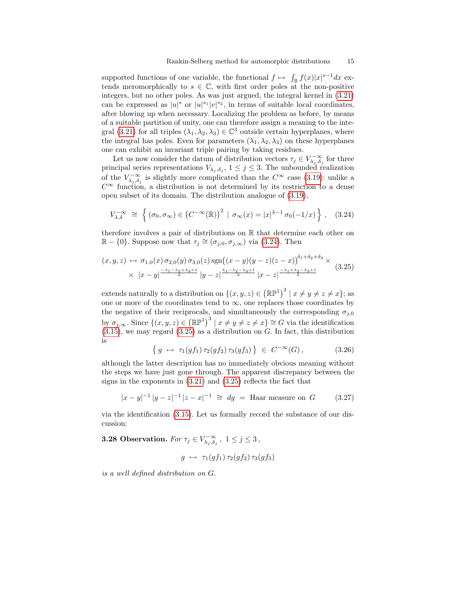supported functions of one variable, the functional  $f \mapsto \int_{\mathbb{R}} f(x)|x|^{s-1} dx$  extends meromorphically to  $s \in \mathbb{C}$ , with first order poles at the non-positive integers, but no other poles. As was just argued, the integral kernel in [\(3.21\)](#page-13-1) can be expressed as  $|u|^s$  or  $|u|^{s_1}|v|^{s_2}$ , in terms of suitable local coordinates, after blowing up when necessary. Localizing the problem as before, by means of a suitable partition of unity, one can therefore assign a meaning to the inte-gral [\(3.21\)](#page-13-1) for all triples  $(\lambda_1, \lambda_2, \lambda_3) \in \mathbb{C}^3$  outside certain hyperplanes, where the integral has poles. Even for parameters  $(\lambda_1, \lambda_2, \lambda_3)$  on these hyperplanes one can exhibit an invariant triple pairing by taking residues.

Let us now consider the datum of distribution vectors  $\tau_j \in V_{\lambda_j, \delta_j}^{-\infty}$  for three principal series representations  $V_{\lambda_j,\delta_j}$ ,  $1 \leq j \leq 3$ . The unbounded realization of the  $V_{\lambda_j,\delta_j}^{-\infty}$  is slightly more complicated than the  $C^{\infty}$  case [\(3.19\)](#page-13-0): unlike a  $C^{\infty}$  function, a distribution is not determined by its restriction to a dense open subset of its domain. The distribution analogue of [\(3.19\)](#page-13-0),

<span id="page-14-0"></span>
$$
V_{\lambda,\delta}^{-\infty} \cong \left\{ (\sigma_0, \sigma_{\infty}) \in (C^{-\infty}(\mathbb{R}))^2 \mid \sigma_{\infty}(x) = |x|^{\lambda - 1} \sigma_0(-1/x) \right\}, \quad (3.24)
$$

therefore involves a pair of distributions on  $\mathbb R$  that determine each other on  $\mathbb{R} - \{0\}$ . Suppose now that  $\tau_j \cong (\sigma_{j,0}, \sigma_{j,\infty})$  via [\(3.24\)](#page-14-0). Then

<span id="page-14-1"></span>
$$
(x, y, z) \mapsto \sigma_{1,0}(x) \sigma_{2,0}(y) \sigma_{3,0}(z) \operatorname{sgn}((x - y)(y - z)(z - x))^{5_1 + 5_2 + 5_3} \times
$$
  
 
$$
\times |x - y| \frac{-\lambda_1 - \lambda_2 + \lambda_3 + 1}{2} |y - z| \frac{\lambda_1 - \lambda_2 - \lambda_3 + 1}{2} |x - z| \frac{-\lambda_1 + \lambda_2 - \lambda_3 + 1}{2}
$$
(3.25)

extends naturally to a distribution on  $\{(x, y, z) \in (\mathbb{RP}^1)^3 \mid x \neq y \neq z \neq x\}$ ; as one or more of the coordinates tend to  $\infty$ , one replaces those coordinates by the negative of their reciprocals, and simultaneously the corresponding  $\sigma_{i,0}$ by  $\sigma_{j,\infty}$ . Since  $\{(x,y,z)\in (\mathbb{RP}^1)^3 \mid x\neq y\neq z\neq x\}\cong G$  via the identification  $(3.15)$ , we may regard  $(3.25)$  as a distribution on G. In fact, this distribution is

<span id="page-14-2"></span>
$$
\{ g \mapsto \tau_1(gf_1) \tau_2(gf_2) \tau_3(gf_3) \} \in C^{-\infty}(G), \tag{3.26}
$$

although the latter description has no immediately obvious meaning without the steps we have just gone through. The apparent discrepancy between the signs in the exponents in [\(3.21\)](#page-13-1) and [\(3.25\)](#page-14-1) reflects the fact that

$$
|x - y|^{-1} |y - z|^{-1} |z - x|^{-1} \cong dg = \text{Haar measure on } G \tag{3.27}
$$

via the identification [\(3.15\)](#page-12-1). Let us formally record the substance of our discussion:

**3.28 Observation.** For  $\tau_j \in V^{-\infty}_{\lambda_j, \delta_j}$ ,  $1 \leq j \leq 3$ ,

$$
g \ \mapsto \ \tau_1(gf_1)\,\tau_2(gf_2)\,\tau_3(gf_3)
$$

is a well defined distribution on G.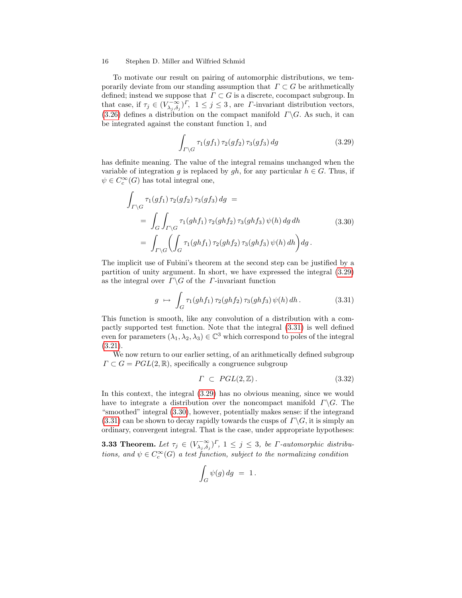To motivate our result on pairing of automorphic distributions, we temporarily deviate from our standing assumption that  $\Gamma \subset G$  be arithmetically defined; instead we suppose that  $\Gamma \subset G$  is a discrete, cocompact subgroup. In that case, if  $\tau_j \in (V_{\lambda_j, \delta_j}^{-\infty})^{\Gamma}$ ,  $1 \leq j \leq 3$ , are *Γ*-invariant distribution vectors, [\(3.26\)](#page-14-2) defines a distribution on the compact manifold  $\Gamma \backslash G$ . As such, it can be integrated against the constant function 1, and

<span id="page-15-0"></span>
$$
\int_{\Gamma\backslash G} \tau_1(gf_1)\,\tau_2(gf_2)\,\tau_3(gf_3)\,dg\tag{3.29}
$$

has definite meaning. The value of the integral remains unchanged when the variable of integration q is replaced by qh, for any particular  $h \in G$ . Thus, if  $\psi \in C_c^{\infty}(G)$  has total integral one,

<span id="page-15-2"></span>
$$
\int_{\Gamma \backslash G} \tau_1(gf_1) \, \tau_2(gf_2) \, \tau_3(gf_3) \, dg =
$$
\n
$$
= \int_G \int_{\Gamma \backslash G} \tau_1(ghf_1) \, \tau_2(ghf_2) \, \tau_3(ghf_3) \, \psi(h) \, dg \, dh \tag{3.30}
$$
\n
$$
= \int_{\Gamma \backslash G} \left( \int_G \tau_1(ghf_1) \, \tau_2(ghf_2) \, \tau_3(ghf_3) \, \psi(h) \, dh \right) dg.
$$

The implicit use of Fubini's theorem at the second step can be justified by a partition of unity argument. In short, we have expressed the integral [\(3.29\)](#page-15-0) as the integral over  $\Gamma \backslash G$  of the *Γ*-invariant function

<span id="page-15-1"></span>
$$
g \mapsto \int_G \tau_1(ghf_1) \,\tau_2(ghf_2) \,\tau_3(ghf_3) \,\psi(h) \,dh. \tag{3.31}
$$

This function is smooth, like any convolution of a distribution with a compactly supported test function. Note that the integral [\(3.31\)](#page-15-1) is well defined even for parameters  $(\lambda_1, \lambda_2, \lambda_3) \in \mathbb{C}^3$  which correspond to poles of the integral [\(3.21\)](#page-13-1).

We now return to our earlier setting, of an arithmetically defined subgroup  $\Gamma \subset G = PGL(2, \mathbb{R})$ , specifically a congruence subgroup

$$
\Gamma \subset \text{PGL}(2,\mathbb{Z}).\tag{3.32}
$$

In this context, the integral [\(3.29\)](#page-15-0) has no obvious meaning, since we would have to integrate a distribution over the noncompact manifold  $\Gamma \backslash G$ . The "smoothed" integral [\(3.30\)](#page-15-2), however, potentially makes sense: if the integrand  $(3.31)$  can be shown to decay rapidly towards the cusps of  $\Gamma \backslash G$ , it is simply an ordinary, convergent integral. That is the case, under appropriate hypotheses:

<span id="page-15-3"></span>**3.33 Theorem.** Let  $\tau_j \in (V_{\lambda_j, \delta_j}^{-\infty})^{\Gamma}$ ,  $1 \leq j \leq 3$ , be *Γ*-automorphic distributions, and  $\psi \in C_c^{\infty}(G)$  a test function, subject to the normalizing condition

$$
\int_G \psi(g) \, dg \ = \ 1 \, .
$$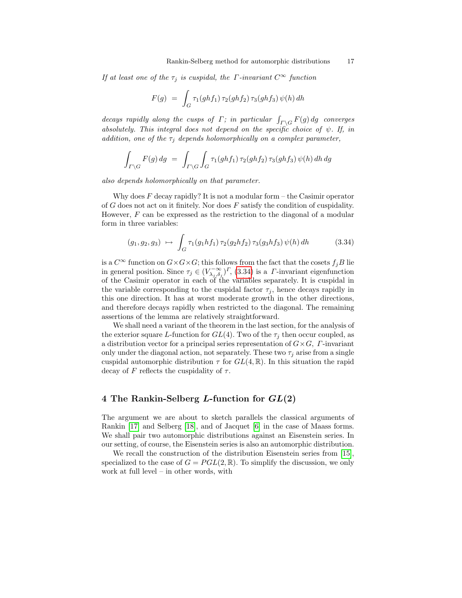If at least one of the  $\tau_i$  is cuspidal, the *Γ*-invariant  $C^{\infty}$  function

$$
F(g) = \int_G \tau_1(ghf_1) \,\tau_2(ghf_2) \,\tau_3(ghf_3) \,\psi(h) \,dh
$$

decays rapidly along the cusps of  $\Gamma$ ; in particular  $\int_{\Gamma\backslash G} F(g) dg$  converges absolutely. This integral does not depend on the specific choice of  $\psi$ . If, in addition, one of the  $\tau_i$  depends holomorphically on a complex parameter,

$$
\int_{\Gamma\backslash G} F(g) dg = \int_{\Gamma\backslash G} \int_G \tau_1(ghf_1) \tau_2(ghf_2) \tau_3(ghf_3) \psi(h) dh dg
$$

also depends holomorphically on that parameter.

Why does  $F$  decay rapidly? It is not a modular form – the Casimir operator of  $G$  does not act on it finitely. Nor does  $F$  satisfy the condition of cuspidality. However,  $F$  can be expressed as the restriction to the diagonal of a modular form in three variables:

<span id="page-16-0"></span>
$$
(g_1, g_2, g_3) \mapsto \int_G \tau_1(g_1 h f_1) \tau_2(g_2 h f_2) \tau_3(g_3 h f_3) \psi(h) dh \qquad (3.34)
$$

is a  $C^{\infty}$  function on  $G \times G \times G$ ; this follows from the fact that the cosets  $f_jB$  lie in general position. Since  $\tau_j \in (V_{\lambda_j,\delta_j}^{-\infty})^{\Gamma}$ , [\(3.34\)](#page-16-0) is a *Γ*-invariant eigenfunction of the Casimir operator in each of the variables separately. It is cuspidal in the variable corresponding to the cuspidal factor  $\tau_j$ , hence decays rapidly in this one direction. It has at worst moderate growth in the other directions, and therefore decays rapidly when restricted to the diagonal. The remaining assertions of the lemma are relatively straightforward.

We shall need a variant of the theorem in the last section, for the analysis of the exterior square L-function for  $GL(4)$ . Two of the  $\tau_j$  then occur coupled, as a distribution vector for a principal series representation of  $G \times G$ ,  $\Gamma$ -invariant only under the diagonal action, not separately. These two  $\tau_j$  arise from a single cuspidal automorphic distribution  $\tau$  for  $GL(4,\mathbb{R})$ . In this situation the rapid decay of F reflects the cuspidality of  $\tau$ .

# <span id="page-16-1"></span>4 The Rankin-Selberg L-function for  $GL(2)$

The argument we are about to sketch parallels the classical arguments of Rankin [\[17\]](#page-37-1) and Selberg [\[18\]](#page-37-2), and of Jacquet [\[6\]](#page-36-0) in the case of Maass forms. We shall pair two automorphic distributions against an Eisenstein series. In our setting, of course, the Eisenstein series is also an automorphic distribution.

We recall the construction of the distribution Eisenstein series from [\[15\]](#page-37-0), specialized to the case of  $G = PGL(2, \mathbb{R})$ . To simplify the discussion, we only work at full level – in other words, with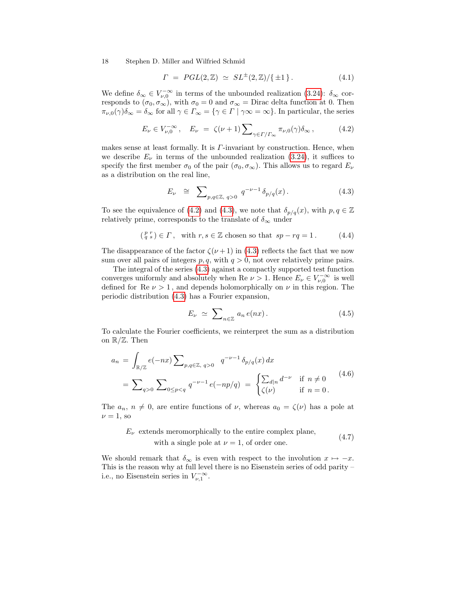$$
\Gamma \ = \ PGL(2,\mathbb{Z}) \ \simeq \ SL^{\pm}(2,\mathbb{Z})/\{\pm 1\} \,. \tag{4.1}
$$

We define  $\delta_{\infty} \in V_{\nu,0}^{-\infty}$  in terms of the unbounded realization [\(3.24\)](#page-14-0):  $\delta_{\infty}$  corresponds to  $(\sigma_0, \sigma_\infty)$ , with  $\sigma_0 = 0$  and  $\sigma_\infty =$  Dirac delta function at 0. Then  $\pi_{\nu,0}(\gamma)\delta_{\infty}=\delta_{\infty}$  for all  $\gamma\in\Gamma_{\infty}=\{\gamma\in\Gamma\mid\gamma\infty=\infty\}$ . In particular, the series

<span id="page-17-0"></span>
$$
E_{\nu} \in V_{\nu,0}^{-\infty}, \quad E_{\nu} = \zeta(\nu+1) \sum_{\gamma \in \Gamma/\Gamma_{\infty}} \pi_{\nu,0}(\gamma) \delta_{\infty}, \tag{4.2}
$$

makes sense at least formally. It is  $\Gamma$ -invariant by construction. Hence, when we describe  $E_{\nu}$  in terms of the unbounded realization [\(3.24\)](#page-14-0), it suffices to specify the first member  $\sigma_0$  of the pair  $(\sigma_0, \sigma_\infty)$ . This allows us to regard  $E_\nu$ as a distribution on the real line,

<span id="page-17-1"></span>
$$
E_{\nu} \cong \sum_{p,q \in \mathbb{Z}, q>0} q^{-\nu-1} \delta_{p/q}(x). \tag{4.3}
$$

To see the equivalence of [\(4.2\)](#page-17-0) and [\(4.3\)](#page-17-1), we note that  $\delta_{p/q}(x)$ , with  $p, q \in \mathbb{Z}$ relatively prime, corresponds to the translate of  $\delta_\infty$  under

$$
\left(\begin{smallmatrix} p & r \\ q & s \end{smallmatrix}\right) \in \Gamma, \quad \text{with } r, s \in \mathbb{Z} \text{ chosen so that } sp - rq = 1. \tag{4.4}
$$

The disappearance of the factor  $\zeta(\nu+1)$  in [\(4.3\)](#page-17-1) reflects the fact that we now sum over all pairs of integers  $p, q$ , with  $q > 0$ , not over relatively prime pairs.

The integral of the series [\(4.3\)](#page-17-1) against a compactly supported test function converges uniformly and absolutely when Re  $\nu > 1$ . Hence  $E_{\nu} \in V_{\nu,0}^{-\infty}$  is well defined for Re  $\nu > 1$ , and depends holomorphically on  $\nu$  in this region. The periodic distribution [\(4.3\)](#page-17-1) has a Fourier expansion,

<span id="page-17-4"></span>
$$
E_{\nu} \simeq \sum_{n \in \mathbb{Z}} a_n e(nx). \tag{4.5}
$$

To calculate the Fourier coefficients, we reinterpret the sum as a distribution on  $\mathbb{R}/\mathbb{Z}$ . Then

<span id="page-17-2"></span>
$$
a_n = \int_{\mathbb{R}/\mathbb{Z}} e(-nx) \sum_{p,q \in \mathbb{Z}, q>0} q^{-\nu-1} \delta_{p/q}(x) dx
$$
  
= 
$$
\sum_{q>0} \sum_{0 \le p < q} q^{-\nu-1} e(-np/q) = \begin{cases} \sum_{d|n} d^{-\nu} & \text{if } n \neq 0 \\ \zeta(\nu) & \text{if } n = 0. \end{cases}
$$
(4.6)

The  $a_n$ ,  $n \neq 0$ , are entire functions of  $\nu$ , whereas  $a_0 = \zeta(\nu)$  has a pole at  $\nu = 1$ , so

<span id="page-17-3"></span>
$$
E_{\nu}
$$
 extends meromorphically to the entire complex plane, (4.7)

with a single pole at  $\nu = 1$ , of order one.

We should remark that  $\delta_{\infty}$  is even with respect to the involution  $x \mapsto -x$ . This is the reason why at full level there is no Eisenstein series of odd parity – i.e., no Eisenstein series in  $V_{\nu,1}^{-\infty}$ .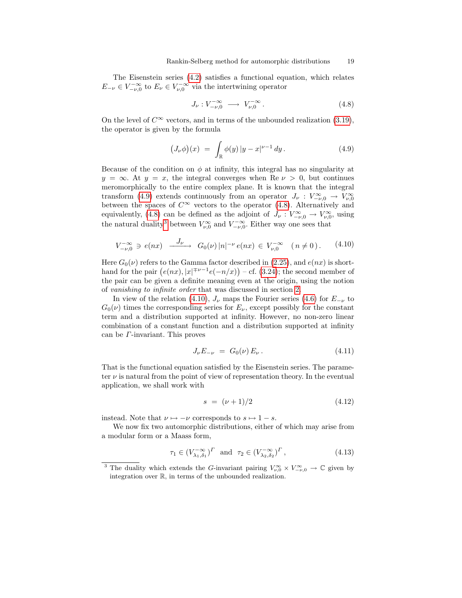The Eisenstein series [\(4.2\)](#page-17-0) satisfies a functional equation, which relates  $E_{-\nu} \in V^{-\infty}_{-\nu,0}$  to  $E_{\nu} \in V^{-\infty}_{\nu,0}$  via the intertwining operator

<span id="page-18-1"></span>
$$
J_{\nu}: V^{-\infty}_{-\nu,0} \longrightarrow V^{-\infty}_{\nu,0}.
$$
\n
$$
(4.8)
$$

On the level of  $C^{\infty}$  vectors, and in terms of the unbounded realization [\(3.19\)](#page-13-0), the operator is given by the formula

<span id="page-18-0"></span>
$$
(J_{\nu}\phi)(x) = \int_{\mathbb{R}} \phi(y) \, |y - x|^{\nu - 1} \, dy. \tag{4.9}
$$

Because of the condition on  $\phi$  at infinity, this integral has no singularity at  $y = \infty$ . At  $y = x$ , the integral converges when Re  $\nu > 0$ , but continues meromorphically to the entire complex plane. It is known that the integral transform [\(4.9\)](#page-18-0) extends continuously from an operator  $J_{\nu}: V_{-\nu,0}^{\infty} \to V_{\nu,0}^{\infty}$ between the spaces of  $C^{\infty}$  vectors to the operator [\(4.8\)](#page-18-1). Alternatively and equivalently, [\(4.8\)](#page-18-1) can be defined as the adjoint of  $J_{\nu}: V_{-\nu,0}^{\infty} \to V_{\nu,0}^{\infty}$ , using the natural duality<sup>[3](#page-18-2)</sup> between  $V_{\nu,0}^{\infty}$  and  $V_{-\nu,0}^{-\infty}$ . Either way one sees that

<span id="page-18-3"></span>
$$
V_{-\nu,0}^{-\infty} \ni e(nx) \quad \xrightarrow{J_{\nu}} \quad G_0(\nu) \, |n|^{-\nu} \, e(nx) \in V_{\nu,0}^{-\infty} \quad (n \neq 0 \,).
$$
 (4.10)

Here  $G_0(\nu)$  refers to the Gamma factor described in [\(2.25\)](#page-8-2), and  $e(nx)$  is shorthand for the pair  $(e(nx), |x|^{+\nu-1}e(-n/x))$  – cf. [\(3.24\)](#page-14-0); the second member of the pair can be given a definite meaning even at the origin, using the notion of vanishing to infinite order that was discussed in section [2.](#page-4-2)

In view of the relation [\(4.10\)](#page-18-3),  $J_{\nu}$  maps the Fourier series [\(4.6\)](#page-17-2) for  $E_{-\nu}$  to  $G_0(\nu)$  times the corresponding series for  $E_{\nu}$ , except possibly for the constant term and a distribution supported at infinity. However, no non-zero linear combination of a constant function and a distribution supported at infinity can be Γ-invariant. This proves

<span id="page-18-4"></span>
$$
J_{\nu}E_{-\nu} = G_0(\nu) E_{\nu}.
$$
 (4.11)

That is the functional equation satisfied by the Eisenstein series. The parameter  $\nu$  is natural from the point of view of representation theory. In the eventual application, we shall work with

<span id="page-18-5"></span>
$$
s = (\nu + 1)/2 \tag{4.12}
$$

instead. Note that  $\nu \mapsto -\nu$  corresponds to  $s \mapsto 1 - s$ .

We now fix two automorphic distributions, either of which may arise from a modular form or a Maass form,

$$
\tau_1 \in (V_{\lambda_1, \delta_1}^{-\infty})^{\Gamma} \text{ and } \tau_2 \in (V_{\lambda_2, \delta_2}^{-\infty})^{\Gamma}, \tag{4.13}
$$

<span id="page-18-2"></span><sup>&</sup>lt;sup>3</sup> The duality which extends the G-invariant pairing  $V_{\nu,0}^{\infty} \times V_{-\nu,0}^{\infty} \to \mathbb{C}$  given by integration over R, in terms of the unbounded realization.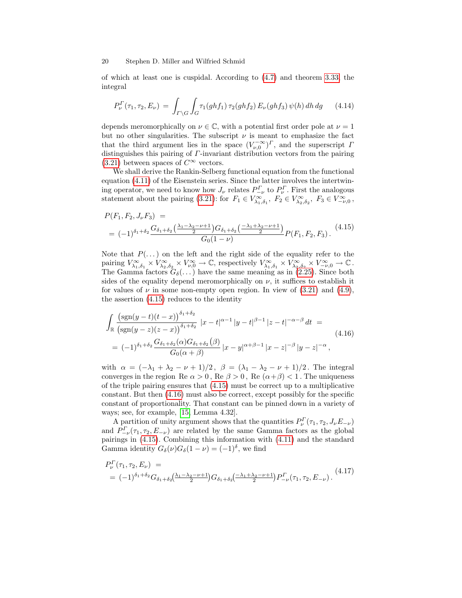of which at least one is cuspidal. According to [\(4.7\)](#page-17-3) and theorem [3.33,](#page-15-3) the integral

<span id="page-19-2"></span>
$$
P_{\nu}^{\Gamma}(\tau_1, \tau_2, E_{\nu}) = \int_{\Gamma \backslash G} \int_{G} \tau_1(ghf_1) \, \tau_2(ghf_2) \, E_{\nu}(ghf_3) \, \psi(h) \, dh \, dg \qquad (4.14)
$$

depends meromorphically on  $\nu \in \mathbb{C}$ , with a potential first order pole at  $\nu = 1$ but no other singularities. The subscript  $\nu$  is meant to emphasize the fact that the third argument lies in the space  $(V_{\nu,0}^{-\infty})^{\Gamma}$ , and the superscript  $\Gamma$ distinguishes this pairing of Γ-invariant distribution vectors from the pairing [\(3.21\)](#page-13-1) between spaces of  $C^{\infty}$  vectors.

We shall derive the Rankin-Selberg functional equation from the functional equation [\(4.11\)](#page-18-4) of the Eisenstein series. Since the latter involves the intertwining operator, we need to know how  $J_{\nu}$  relates  $P_{-\nu}^{\Gamma}$  to  $P_{\nu}^{\Gamma}$ . First the analogous statement about the pairing [\(3.21\)](#page-13-1): for  $F_1 \in V_{\lambda_1, \delta_1}^{\infty}$ ,  $F_2 \in V_{\lambda_2, \delta_2}^{\infty}$ ,  $F_3 \in V_{-\nu,0}^{\infty}$ ,

<span id="page-19-0"></span>
$$
P(F_1, F_2, J_\nu F_3) =
$$
  
=  $(-1)^{\delta_1 + \delta_2} \frac{G_{\delta_1 + \delta_2} \left(\frac{\lambda_1 - \lambda_2 - \nu + 1}{2}\right) G_{\delta_1 + \delta_2} \left(\frac{-\lambda_1 + \lambda_2 - \nu + 1}{2}\right)}{G_0 (1 - \nu)} P(F_1, F_2, F_3).$  (4.15)

Note that  $P(\ldots)$  on the left and the right side of the equality refer to the pairing  $V_{\lambda_1,\delta_1}^{\infty} \times V_{\lambda_2,\delta_2}^{\infty} \times V_{\nu,0}^{\infty} \to \mathbb{C}$ , respectively  $V_{\lambda_1,\delta_1}^{\infty} \times V_{\lambda_2,\delta_2}^{\infty} \times V_{-\nu,0}^{\infty} \to \mathbb{C}$ . The Gamma factors  $G_{\delta}(\ldots)$  have the same meaning as in [\(2.25\)](#page-8-2). Since both sides of the equality depend meromorphically on  $\nu$ , it suffices to establish it for values of  $\nu$  in some non-empty open region. In view of [\(3.21\)](#page-13-1) and [\(4.9\)](#page-18-0), the assertion [\(4.15\)](#page-19-0) reduces to the identity

<span id="page-19-1"></span>
$$
\int_{\mathbb{R}} \frac{\left(\text{sgn}(y-t)(t-x)\right)^{\delta_1+\delta_2}}{\left(\text{sgn}(y-z)(z-x)\right)^{\delta_1+\delta_2}} |x-t|^{\alpha-1} |y-t|^{\beta-1} |z-t|^{-\alpha-\beta} dt =
$$
\n
$$
= (-1)^{\delta_1+\delta_2} \frac{G_{\delta_1+\delta_2}(\alpha) G_{\delta_1+\delta_2}(\beta)}{G_0(\alpha+\beta)} |x-y|^{\alpha+\beta-1} |x-z|^{-\beta} |y-z|^{-\alpha},
$$
\n(4.16)

with  $\alpha = (-\lambda_1 + \lambda_2 - \nu + 1)/2$ ,  $\beta = (\lambda_1 - \lambda_2 - \nu + 1)/2$ . The integral converges in the region Re  $\alpha > 0$ , Re  $\beta > 0$ , Re  $(\alpha + \beta) < 1$ . The uniqueness of the triple pairing ensures that [\(4.15\)](#page-19-0) must be correct up to a multiplicative constant. But then [\(4.16\)](#page-19-1) must also be correct, except possibly for the specific constant of proportionality. That constant can be pinned down in a variety of ways; see, for example, [\[15,](#page-37-0) Lemma 4.32].

A partition of unity argument shows that the quantities  $P_{\nu}^{(\tau_1, \tau_2, J_{\nu}E_{-\nu})}$ and  $P_{-\nu}^{\Gamma}(\tau_1, \tau_2, E_{-\nu})$  are related by the same Gamma factors as the global pairings in [\(4.15\)](#page-19-0). Combining this information with [\(4.11\)](#page-18-4) and the standard Gamma identity  $G_{\delta}(\nu)G_{\delta}(1-\nu) = (-1)^{\delta}$ , we find

<span id="page-19-3"></span>
$$
P_{\nu}^{\Gamma}(\tau_1, \tau_2, E_{\nu}) =
$$
  
=  $(-1)^{\delta_1 + \delta_2} G_{\delta_1 + \delta_2} \left( \frac{\lambda_1 - \lambda_2 - \nu + 1}{2} \right) G_{\delta_1 + \delta_2} \left( \frac{-\lambda_1 + \lambda_2 - \nu + 1}{2} \right) P_{-\nu}^{\Gamma}(\tau_1, \tau_2, E_{-\nu}).$  (4.17)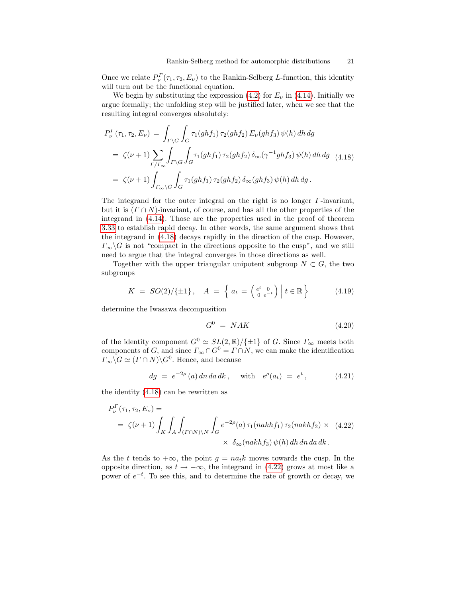Once we relate  $P_{\nu}^{\Gamma}(\tau_1, \tau_2, E_{\nu})$  to the Rankin-Selberg L-function, this identity will turn out be the functional equation.

We begin by substituting the expression [\(4.2\)](#page-17-0) for  $E_{\nu}$  in [\(4.14\)](#page-19-2). Initially we argue formally; the unfolding step will be justified later, when we see that the resulting integral converges absolutely:

<span id="page-20-0"></span>
$$
P_{\nu}^{\Gamma}(\tau_1, \tau_2, E_{\nu}) = \int_{\Gamma \backslash G} \int_G \tau_1(ghf_1) \tau_2(ghf_2) E_{\nu}(ghf_3) \psi(h) dh dg
$$
  
=  $\zeta(\nu+1) \sum_{\Gamma/\Gamma_{\infty}} \int_{\Gamma \backslash G} \int_G \tau_1(ghf_1) \tau_2(ghf_2) \delta_{\infty}(\gamma^{-1}ghf_3) \psi(h) dh dg$  (4.18)  
=  $\zeta(\nu+1) \int_{\Gamma_{\infty} \backslash G} \int_G \tau_1(ghf_1) \tau_2(ghf_2) \delta_{\infty}(ghf_3) \psi(h) dh dg.$ 

The integrand for the outer integral on the right is no longer  $\Gamma$ -invariant, but it is  $(\Gamma \cap N)$ -invariant, of course, and has all the other properties of the integrand in [\(4.14\)](#page-19-2). Those are the properties used in the proof of theorem [3.33](#page-15-3) to establish rapid decay. In other words, the same argument shows that the integrand in [\(4.18\)](#page-20-0) decays rapidly in the direction of the cusp. However,  $\Gamma_{\infty}\backslash G$  is not "compact in the directions opposite to the cusp", and we still need to argue that the integral converges in those directions as well.

Together with the upper triangular unipotent subgroup  $N \subset G$ , the two subgroups

<span id="page-20-3"></span>
$$
K = SO(2)/\{\pm 1\}, \quad A = \left\{ a_t = \left( \begin{smallmatrix} e^t & 0 \\ 0 & e^{-t} \end{smallmatrix} \right) \middle| t \in \mathbb{R} \right\} \tag{4.19}
$$

determine the Iwasawa decomposition

<span id="page-20-4"></span>
$$
G^0 = NAK \tag{4.20}
$$

of the identity component  $G^0 \simeq SL(2,\mathbb{R})/\{\pm 1\}$  of G. Since  $\Gamma_{\infty}$  meets both components of G, and since  $\Gamma_{\infty} \cap G^0 = \Gamma \cap N$ , we can make the identification  $\Gamma_{\infty} \backslash G \simeq (\Gamma \cap N) \backslash G^0$ . Hence, and because

<span id="page-20-2"></span>
$$
dg = e^{-2\rho} (a) dn da dk, \text{ with } e^{\rho} (a_t) = e^t, \quad (4.21)
$$

the identity [\(4.18\)](#page-20-0) can be rewritten as

<span id="page-20-1"></span>
$$
P_{\nu}^{\Gamma}(\tau_1, \tau_2, E_{\nu}) =
$$
  
=  $\zeta(\nu + 1) \int_{K} \int_{A} \int_{(T \cap N) \backslash N} \int_{G} e^{-2\rho}(a) \tau_1(nakh f_1) \tau_2(nakh f_2) \times (4.22)$   
 $\times \delta_{\infty}(nakh f_3) \psi(h) dh dn da dk.$ 

As the t tends to  $+\infty$ , the point  $q = na_t k$  moves towards the cusp. In the opposite direction, as  $t \to -\infty$ , the integrand in [\(4.22\)](#page-20-1) grows at most like a power of  $e^{-t}$ . To see this, and to determine the rate of growth or decay, we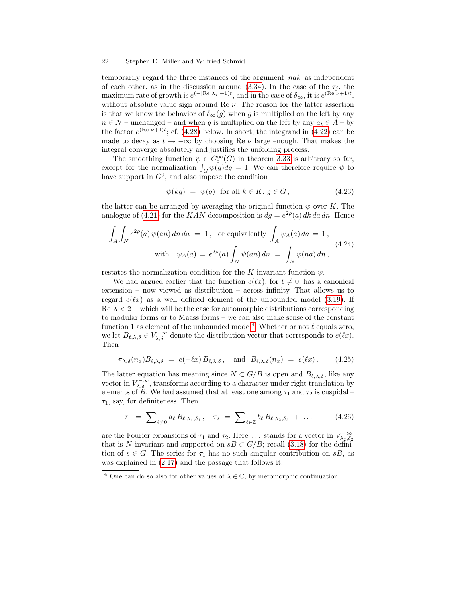temporarily regard the three instances of the argument nak as independent of each other, as in the discussion around [\(3.34\)](#page-16-0). In the case of the  $\tau_i$ , the maximum rate of growth is  $e^{(-|\text{Re }\lambda_j|+1)t}$ , and in the case of  $\delta_{\infty}$ , it is  $e^{(\text{Re }\nu+1)t}$ , without absolute value sign around Re  $\nu$ . The reason for the latter assertion is that we know the behavior of  $\delta_{\infty}(g)$  when g is multiplied on the left by any  $n \in N$  – unchanged – and when g is multiplied on the left by any  $a_t \in A$  – by the factor  $e^{(\text{Re }\nu+1)t}$ ; cf. [\(4.28\)](#page-22-0) below. In short, the integrand in [\(4.22\)](#page-20-1) can be made to decay as  $t \to -\infty$  by choosing Re  $\nu$  large enough. That makes the integral converge absolutely and justifies the unfolding process.

The smoothing function  $\psi \in C_c^{\infty}(G)$  in theorem [3.33](#page-15-3) is arbitrary so far, except for the normalization  $\int_G \psi(g) dg = 1$ . We can therefore require  $\psi$  to have support in  $G^0$ , and also impose the condition

<span id="page-21-4"></span>
$$
\psi(kg) = \psi(g) \quad \text{for all } k \in K, \, g \in G \,; \tag{4.23}
$$

the latter can be arranged by averaging the original function  $\psi$  over K. The analogue of [\(4.21\)](#page-20-2) for the KAN decomposition is  $dg = e^{2\rho}(a) dk da dn$ . Hence

<span id="page-21-2"></span>
$$
\int_{A} \int_{N} e^{2\rho}(a) \psi(an) dn da = 1, \text{ or equivalently } \int_{A} \psi_{A}(a) da = 1,
$$
  
with  $\psi_{A}(a) = e^{2\rho}(a) \int_{N} \psi(an) dn = \int_{N} \psi(na) dn,$  (4.24)

restates the normalization condition for the K-invariant function  $\psi$ .

We had argued earlier that the function  $e(\ell x)$ , for  $\ell \neq 0$ , has a canonical extension – now viewed as distribution – across infinity. That allows us to regard  $e(x)$  as a well defined element of the unbounded model [\(3.19\)](#page-13-0). If Re  $\lambda < 2$  – which will be the case for automorphic distributions corresponding to modular forms or to Maass forms – we can also make sense of the constant function 1 as element of the unbounded model<sup>[4](#page-21-0)</sup>. Whether or not  $\ell$  equals zero, we let  $B_{\ell,\lambda,\delta} \in V^{-\infty}_{\lambda,\delta}$  denote the distribution vector that corresponds to  $e(\ell x)$ . Then

<span id="page-21-3"></span>
$$
\pi_{\lambda,\delta}(n_x) B_{\ell,\lambda,\delta} = e(-\ell x) B_{\ell,\lambda,\delta}, \text{ and } B_{\ell,\lambda,\delta}(n_x) = e(\ell x). \quad (4.25)
$$

The latter equation has meaning since  $N \subset G/B$  is open and  $B_{\ell,\lambda,\delta}$ , like any vector in  $V_{\lambda,\delta}^{-\infty}$ , transforms according to a character under right translation by elements of B. We had assumed that at least one among  $\tau_1$  and  $\tau_2$  is cuspidal –  $\tau_1$ , say, for definiteness. Then

<span id="page-21-1"></span>
$$
\tau_1 = \sum_{\ell \neq 0} a_{\ell} B_{\ell, \lambda_1, \delta_1}, \quad \tau_2 = \sum_{\ell \in \mathbb{Z}} b_{\ell} B_{\ell, \lambda_2, \delta_2} + \dots \quad (4.26)
$$

are the Fourier expansions of  $\tau_1$  and  $\tau_2$ . Here ... stands for a vector in  $V_{\lambda_2,\delta_2}^{-\infty}$ that is N-invariant and supported on  $sB \subset G/B$ ; recall [\(3.18\)](#page-12-2) for the definition of  $s \in G$ . The series for  $\tau_1$  has no such singular contribution on  $sB$ , as was explained in [\(2.17\)](#page-7-2) and the passage that follows it.

<span id="page-21-0"></span><sup>&</sup>lt;sup>4</sup> One can do so also for other values of  $\lambda \in \mathbb{C}$ , by meromorphic continuation.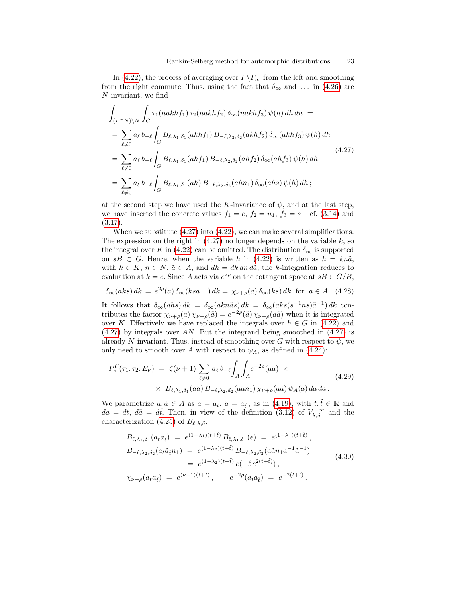In [\(4.22\)](#page-20-1), the process of averaging over  $\Gamma\backslash\Gamma_\infty$  from the left and smoothing from the right commute. Thus, using the fact that  $\delta_{\infty}$  and ... in [\(4.26\)](#page-21-1) are N-invariant, we find

<span id="page-22-1"></span>
$$
\int_{(\Gamma \cap N)\backslash N} \int_{G} \tau_{1}(nakhf_{1}) \tau_{2}(nakhf_{2}) \delta_{\infty}(nakhf_{3}) \psi(h) dh dh =
$$
\n
$$
= \sum_{\ell \neq 0} a_{\ell} b_{-\ell} \int_{G} B_{\ell, \lambda_{1}, \delta_{1}}(akhf_{1}) B_{-\ell, \lambda_{2}, \delta_{2}}(akhf_{2}) \delta_{\infty}(akhf_{3}) \psi(h) dh
$$
\n
$$
= \sum_{\ell \neq 0} a_{\ell} b_{-\ell} \int_{G} B_{\ell, \lambda_{1}, \delta_{1}}(ahf_{1}) B_{-\ell, \lambda_{2}, \delta_{2}}(ahf_{2}) \delta_{\infty}(ahf_{3}) \psi(h) dh
$$
\n
$$
= \sum_{\ell \neq 0} a_{\ell} b_{-\ell} \int_{G} B_{\ell, \lambda_{1}, \delta_{1}}(ah) B_{-\ell, \lambda_{2}, \delta_{2}}(ahn_{1}) \delta_{\infty}(ahs) \psi(h) dh ;
$$
\n
$$
(4.27)
$$

at the second step we have used the K-invariance of  $\psi$ , and at the last step, we have inserted the concrete values  $f_1 = e$ ,  $f_2 = n_1$ ,  $f_3 = s - cf.$  [\(3.14\)](#page-12-3) and  $(3.17).$  $(3.17).$ 

When we substitute [\(4.27\)](#page-22-1) into [\(4.22\)](#page-20-1), we can make several simplifications. The expression on the right in  $(4.27)$  no longer depends on the variable k, so the integral over K in [\(4.22\)](#page-20-1) can be omitted. The distribution  $\delta_{\infty}$  is supported on sB  $\subset G$ . Hence, when the variable h in [\(4.22\)](#page-20-1) is written as  $h = kn\tilde{a}$ , with  $k \in K$ ,  $n \in N$ ,  $\tilde{a} \in A$ , and  $dh = dk dn d\tilde{a}$ , the k-integration reduces to evaluation at  $k = e$ . Since A acts via  $e^{2\rho}$  on the cotangent space at  $sB \in G/B$ ,

<span id="page-22-0"></span>
$$
\delta_{\infty}(aks) dk = e^{2\rho}(a) \delta_{\infty}(ksa^{-1}) dk = \chi_{\nu+\rho}(a) \delta_{\infty}(ks) dk \text{ for } a \in A. (4.28)
$$

It follows that  $\delta_{\infty}(ahs) dk = \delta_{\infty}(akn\tilde{a}s) dk = \delta_{\infty}(aks(s^{-1}ns)\tilde{a}^{-1}) dk$  contributes the factor  $\chi_{\nu+\rho}(a)\,\chi_{\nu-\rho}(\tilde{a})=e^{-2\rho}(\tilde{a})\,\chi_{\nu+\rho}(a\tilde{a})$  when it is integrated over K. Effectively we have replaced the integrals over  $h \in G$  in [\(4.22\)](#page-20-1) and [\(4.27\)](#page-22-1) by integrals over AN. But the integrand being smoothed in [\(4.27\)](#page-22-1) is already N-invariant. Thus, instead of smoothing over G with respect to  $\psi$ , we only need to smooth over A with respect to  $\psi_A$ , as defined in [\(4.24\)](#page-21-2):

<span id="page-22-2"></span>
$$
P_{\nu}^{\Gamma}(\tau_1, \tau_2, E_{\nu}) = \zeta(\nu+1) \sum_{\ell \neq 0} a_{\ell} b_{-\ell} \int_A \int_A e^{-2\rho} (a\tilde{a}) \times
$$
  
 
$$
\times B_{\ell, \lambda_1, \delta_1}(a\tilde{a}) B_{-\ell, \lambda_2, d_2}(a\tilde{a}n_1) \chi_{\nu+\rho}(a\tilde{a}) \psi_A(\tilde{a}) d\tilde{a} da.
$$
 (4.29)

We parametrize  $a, \tilde{a} \in A$  as  $a = a_t, \tilde{a} = a_{\tilde{t}},$  as in [\(4.19\)](#page-20-3), with  $t, \tilde{t} \in \mathbb{R}$  and  $da = dt, d\tilde{a} = d\tilde{t}$ . Then, in view of the definition [\(3.12\)](#page-11-3) of  $V_{\lambda,\delta}^{-\infty}$  and the characterization [\(4.25\)](#page-21-3) of  $B_{\ell,\lambda,\delta}$ ,

<span id="page-22-3"></span>
$$
B_{\ell,\lambda_1,\delta_1}(a_t a_{\tilde{t}}) = e^{(1-\lambda_1)(t+\tilde{t})} B_{\ell,\lambda_1,\delta_1}(e) = e^{(1-\lambda_1)(t+\tilde{t})},
$$
  
\n
$$
B_{-\ell,\lambda_2,\delta_2}(a_t \tilde{a}_{\tilde{t}} n_1) = e^{(1-\lambda_2)(t+\tilde{t})} B_{-\ell,\lambda_2,\delta_2}(a \tilde{a} n_1 a^{-1} \tilde{a}^{-1})
$$
  
\n
$$
= e^{(1-\lambda_2)(t+\tilde{t})} e(-\ell e^{2(t+\tilde{t})}),
$$
  
\n
$$
\chi_{\nu+\rho}(a_t a_{\tilde{t}}) = e^{(\nu+1)(t+\tilde{t})}, \qquad e^{-2\rho}(a_t a_{\tilde{t}}) = e^{-2(t+\tilde{t})}.
$$
\n(4.30)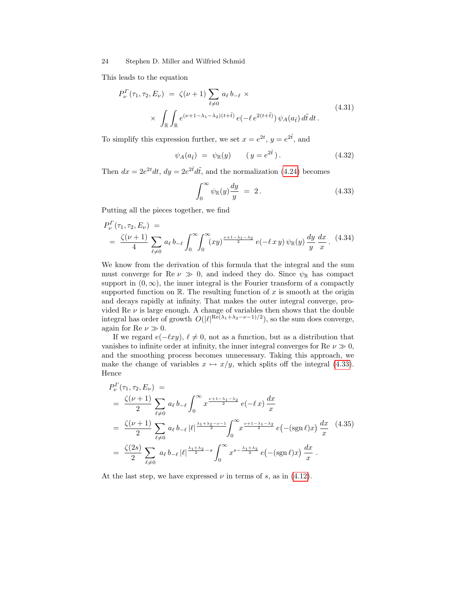This leads to the equation

$$
P_{\nu}^{\Gamma}(\tau_1, \tau_2, E_{\nu}) = \zeta(\nu + 1) \sum_{\ell \neq 0} a_{\ell} b_{-\ell} \times
$$
  
 
$$
\times \int_{\mathbb{R}} \int_{\mathbb{R}} e^{(\nu + 1 - \lambda_1 - \lambda_2)(t + \tilde{t})} e(-\ell e^{2(t + \tilde{t})}) \psi_A(a_{\tilde{t}}) d\tilde{t} dt.
$$
 (4.31)

To simplify this expression further, we set  $x = e^{2t}$ ,  $y = e^{2t}$ , and

$$
\psi_A(a_{\tilde{t}}) = \psi_{\mathbb{R}}(y) \qquad (y = e^{2\tilde{t}}). \tag{4.32}
$$

Then  $dx = 2e^{2t}dt$ ,  $dy = 2e^{2\tilde{t}}d\tilde{t}$ , and the normalization [\(4.24\)](#page-21-2) becomes

<span id="page-23-0"></span>
$$
\int_0^\infty \psi_{\mathbb{R}}(y) \frac{dy}{y} = 2.
$$
 (4.33)

Putting all the pieces together, we find

$$
P_{\nu}^{\Gamma}(\tau_1, \tau_2, E_{\nu}) =
$$
  
=  $\frac{\zeta(\nu+1)}{4} \sum_{\ell \neq 0} a_{\ell} b_{-\ell} \int_0^{\infty} \int_0^{\infty} (xy)^{\frac{\nu+1-\lambda_1-\lambda_2}{2}} e(-\ell xy) \psi_{\mathbb{R}}(y) \frac{dy}{y} \frac{dx}{x}.$  (4.34)

We know from the derivation of this formula that the integral and the sum must converge for Re  $\nu \gg 0$ , and indeed they do. Since  $\psi_{\mathbb{R}}$  has compact support in  $(0, \infty)$ , the inner integral is the Fourier transform of a compactly supported function on  $\mathbb{R}$ . The resulting function of x is smooth at the origin and decays rapidly at infinity. That makes the outer integral converge, provided Re  $\nu$  is large enough. A change of variables then shows that the double integral has order of growth  $O(|\ell|^{Re(\lambda_1 + \lambda_2 - \nu - 1)/2})$ , so the sum does converge, again for Re  $\nu \gg 0$ .

If we regard  $e(-\ell xy)$ ,  $\ell \neq 0$ , not as a function, but as a distribution that vanishes to infinite order at infinity, the inner integral converges for Re  $\nu \gg 0$ , and the smoothing process becomes unnecessary. Taking this approach, we make the change of variables  $x \mapsto x/y$ , which splits off the integral [\(4.33\)](#page-23-0). Hence

<span id="page-23-1"></span>
$$
P_{\nu}^{\Gamma}(\tau_1, \tau_2, E_{\nu}) =
$$
\n
$$
= \frac{\zeta(\nu+1)}{2} \sum_{\ell \neq 0} a_{\ell} b_{-\ell} \int_0^{\infty} x^{\frac{\nu+1-\lambda_1-\lambda_2}{2}} e(-\ell x) \frac{dx}{x}
$$
\n
$$
= \frac{\zeta(\nu+1)}{2} \sum_{\ell \neq 0} a_{\ell} b_{-\ell} |\ell|^{\frac{\lambda_1+\lambda_2-\nu-1}{2}} \int_0^{\infty} x^{\frac{\nu+1-\lambda_1-\lambda_2}{2}} e(-(\text{sgn}\ell)x) \frac{dx}{x}
$$
\n
$$
= \frac{\zeta(2s)}{2} \sum_{\ell \neq 0} a_{\ell} b_{-\ell} |\ell|^{\frac{\lambda_1+\lambda_2}{2}-s} \int_0^{\infty} x^{s-\frac{\lambda_1+\lambda_2}{2}} e(-(\text{sgn}\ell)x) \frac{dx}{x}.
$$
\n(4.35)

At the last step, we have expressed  $\nu$  in terms of s, as in [\(4.12\)](#page-18-5).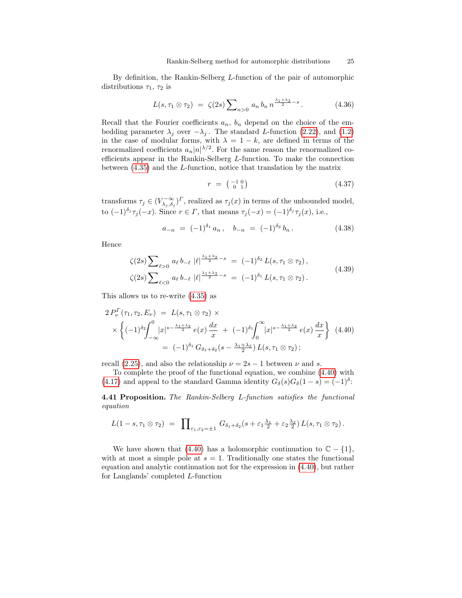By definition, the Rankin-Selberg L-function of the pair of automorphic distributions  $\tau_1$ ,  $\tau_2$  is

$$
L(s, \tau_1 \otimes \tau_2) = \zeta(2s) \sum_{n>0} a_n b_n n^{\frac{\lambda_1 + \lambda_2}{2} - s}.
$$
 (4.36)

Recall that the Fourier coefficients  $a_n$ ,  $b_n$  depend on the choice of the embedding parameter  $\lambda_j$  over  $-\lambda_j$ . The standard L-function [\(2.22\)](#page-8-0), and [\(1.2\)](#page-0-1) in the case of modular forms, with  $\lambda = 1 - k$ , are defined in terms of the renormalized coefficients  $a_n|n|^{\lambda/2}$ . For the same reason the renormalized coefficients appear in the Rankin-Selberg L-function. To make the connection between [\(4.35\)](#page-23-1) and the L-function, notice that translation by the matrix

$$
r = \begin{pmatrix} -1 & 0 \\ 0 & 1 \end{pmatrix} \tag{4.37}
$$

transforms  $\tau_j \in (V_{\lambda_j, \delta_j}^{-\infty})^{\Gamma}$ , realized as  $\tau_j(x)$  in terms of the unbounded model, to  $(-1)^{\delta_j}\tau_j(-x)$ . Since  $r \in \Gamma$ , that means  $\tau_j(-x) = (-1)^{\delta_j}\tau_j(x)$ , i.e.,

$$
a_{-n} = (-1)^{\delta_1} a_n, \quad b_{-n} = (-1)^{\delta_2} b_n.
$$
 (4.38)

Hence

$$
\zeta(2s) \sum_{\ell>0} a_{\ell} b_{-\ell} |\ell|^{\frac{\lambda_1+\lambda_2}{2}-s} = (-1)^{\delta_2} L(s, \tau_1 \otimes \tau_2),
$$
  

$$
\zeta(2s) \sum_{\ell<0} a_{\ell} b_{-\ell} |\ell|^{\frac{\lambda_1+\lambda_2}{2}-s} = (-1)^{\delta_1} L(s, \tau_1 \otimes \tau_2).
$$
 (4.39)

This allows us to re-write [\(4.35\)](#page-23-1) as

<span id="page-24-0"></span>
$$
2 P_{\nu}^{\Gamma}(\tau_1, \tau_2, E_{\nu}) = L(s, \tau_1 \otimes \tau_2) \times
$$
  
 
$$
\times \left\{ (-1)^{\delta_2} \int_{-\infty}^{0} |x|^{s - \frac{\lambda_1 + \lambda_2}{2}} e(x) \frac{dx}{x} + (-1)^{\delta_1} \int_{0}^{\infty} |x|^{s - \frac{\lambda_1 + \lambda_2}{2}} e(x) \frac{dx}{x} \right\} (4.40)
$$
  
=  $(-1)^{\delta_1} G_{\delta_1 + \delta_2} (s - \frac{\lambda_1 + \lambda_2}{2}) L(s, \tau_1 \otimes \tau_2);$ 

recall [\(2.25\)](#page-8-2), and also the relationship  $\nu = 2s - 1$  between  $\nu$  and s.

To complete the proof of the functional equation, we combine [\(4.40\)](#page-24-0) with [\(4.17\)](#page-19-3) and appeal to the standard Gamma identity  $G_{\delta}(s)G_{\delta}(1-s)=(-1)^{\delta}$ :

4.41 Proposition. The Rankin-Selberg L-function satisfies the functional equation

$$
L(1-s,\tau_1\otimes\tau_2) = \prod_{\varepsilon_1,\varepsilon_2=\pm 1} G_{\delta_1+\delta_2}(s+\varepsilon_1\frac{\lambda_1}{2}+\varepsilon_2\frac{\lambda_2}{2}) L(s,\tau_1\otimes\tau_2).
$$

We have shown that [\(4.40\)](#page-24-0) has a holomorphic continuation to  $\mathbb{C} - \{1\}$ , with at most a simple pole at  $s = 1$ . Traditionally one states the functional equation and analytic continuation not for the expression in [\(4.40\)](#page-24-0), but rather for Langlands' completed L-function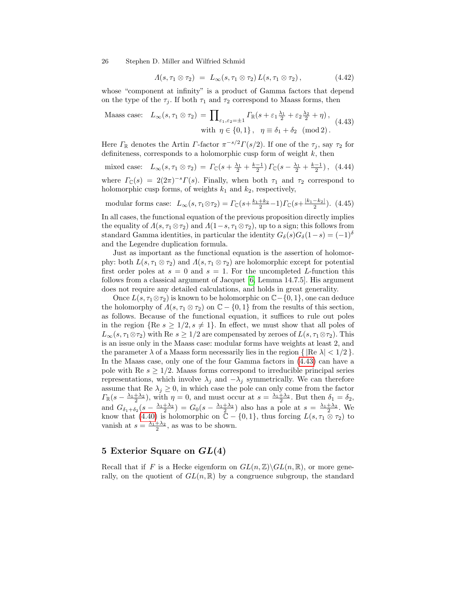$$
\Lambda(s,\tau_1 \otimes \tau_2) = L_{\infty}(s,\tau_1 \otimes \tau_2) L(s,\tau_1 \otimes \tau_2), \qquad (4.42)
$$

whose "component at infinity" is a product of Gamma factors that depend on the type of the  $\tau_i$ . If both  $\tau_1$  and  $\tau_2$  correspond to Maass forms, then

<span id="page-25-0"></span>
$$
\text{Maass case:} \quad L_{\infty}(s, \tau_1 \otimes \tau_2) = \prod_{\varepsilon_1, \varepsilon_2 = \pm 1} \Gamma_{\mathbb{R}}(s + \varepsilon_1 \frac{\lambda_1}{2} + \varepsilon_2 \frac{\lambda_2}{2} + \eta),
$$
\n
$$
\text{with } \eta \in \{0, 1\}, \quad \eta \equiv \delta_1 + \delta_2 \pmod{2}.
$$
\n
$$
(4.43)
$$

Here  $\Gamma_{\mathbb{R}}$  denotes the Artin  $\Gamma$ -factor  $\pi^{-s/2}\Gamma(s/2)$ . If one of the  $\tau_j$ , say  $\tau_2$  for definiteness, corresponds to a holomorphic cusp form of weight  $k$ , then

mixed case: 
$$
L_{\infty}(s, \tau_1 \otimes \tau_2) = \Gamma_{\mathbb{C}}(s + \frac{\lambda_1}{2} + \frac{k-1}{2}) \Gamma_{\mathbb{C}}(s - \frac{\lambda_1}{2} + \frac{k-1}{2}),
$$
 (4.44)

where  $\Gamma_{\mathbb{C}}(s) = 2(2\pi)^{-s}\Gamma(s)$ . Finally, when both  $\tau_1$  and  $\tau_2$  correspond to holomorphic cusp forms, of weights  $k_1$  and  $k_2$ , respectively,

modular forms case:  $L_{\infty}(s, \tau_1 \otimes \tau_2) = \Gamma_{\mathbb{C}}(s + \frac{k_1 + k_2}{2} - 1)\Gamma_{\mathbb{C}}(s + \frac{|k_1 - k_2|}{2})$ . (4.45)

In all cases, the functional equation of the previous proposition directly implies the equality of  $\Lambda(s, \tau_1 \otimes \tau_2)$  and  $\Lambda(1-s, \tau_1 \otimes \tau_2)$ , up to a sign; this follows from standard Gamma identities, in particular the identity  $G_{\delta}(s)G_{\delta}(1-s)=(-1)^{\delta}$ and the Legendre duplication formula.

Just as important as the functional equation is the assertion of holomorphy: both  $L(s, \tau_1 \otimes \tau_2)$  and  $\Lambda(s, \tau_1 \otimes \tau_2)$  are holomorphic except for potential first order poles at  $s = 0$  and  $s = 1$ . For the uncompleted L-function this follows from a classical argument of Jacquet [\[6,](#page-36-0) Lemma 14.7.5]. His argument does not require any detailed calculations, and holds in great generality.

Once  $L(s, \tau_1 \otimes \tau_2)$  is known to be holomorphic on  $\mathbb{C}-\{0,1\}$ , one can deduce the holomorphy of  $\Lambda(s, \tau_1 \otimes \tau_2)$  on  $\mathbb{C} - \{0,1\}$  from the results of this section, as follows. Because of the functional equation, it suffices to rule out poles in the region  ${Re s \ge 1/2, s \ne 1}.$  In effect, we must show that all poles of  $L_{\infty}(s, \tau_1 \otimes \tau_2)$  with Re  $s \geq 1/2$  are compensated by zeroes of  $L(s, \tau_1 \otimes \tau_2)$ . This is an issue only in the Maass case: modular forms have weights at least 2, and the parameter  $\lambda$  of a Maass form necessarily lies in the region  $\{|\text{Re }\lambda| < 1/2\}$ . In the Maass case, only one of the four Gamma factors in [\(4.43\)](#page-25-0) can have a pole with Re  $s \geq 1/2$ . Maass forms correspond to irreducible principal series representations, which involve  $\lambda_j$  and  $-\lambda_j$  symmetrically. We can therefore assume that Re  $\lambda_j \geq 0$ , in which case the pole can only come from the factor  $\Gamma_{\mathbb{R}}(s-\frac{\lambda_1+\lambda_2}{2})$ , with  $\eta=0$ , and must occur at  $s=\frac{\lambda_1+\lambda_2}{2}$ . But then  $\delta_1=\delta_2$ , and  $G_{\delta_1+\delta_2}(s-\frac{\lambda_1+\lambda_2}{2})=G_0(s-\frac{\lambda_1+\lambda_2}{2})$  also has a pole at  $s=\frac{\lambda_1+\lambda_2}{2}$ . We know that [\(4.40\)](#page-24-0) is holomorphic on  $\mathbb{\tilde{C}} - \{0,1\}$ , thus forcing  $L(s, \tau_1 \otimes \tau_2)$  to vanish at  $s = \frac{\lambda_1 + \lambda_2}{2}$ , as was to be shown.

### 5 Exterior Square on  $GL(4)$

Recall that if F is a Hecke eigenform on  $GL(n,\mathbb{Z})\backslash GL(n,\mathbb{R})$ , or more generally, on the quotient of  $GL(n,\mathbb{R})$  by a congruence subgroup, the standard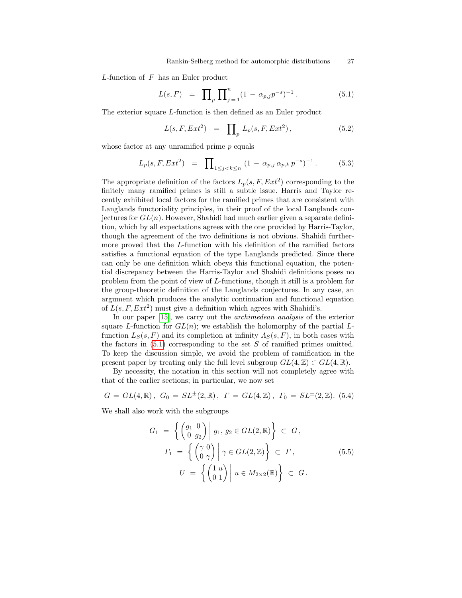L-function of F has an Euler product

<span id="page-26-0"></span>
$$
L(s, F) = \prod_{p} \prod_{j=1}^{n} (1 - \alpha_{p,j} p^{-s})^{-1}.
$$
 (5.1)

The exterior square L-function is then defined as an Euler product

<span id="page-26-1"></span>
$$
L(s, F, Ext^2) = \prod_{p} L_p(s, F, Ext^2), \qquad (5.2)
$$

whose factor at any unramified prime  $p$  equals

$$
L_p(s, F, Ext^2) = \prod_{1 \le j < k \le n} (1 - \alpha_{p,j} \alpha_{p,k} p^{-s})^{-1} \,. \tag{5.3}
$$

The appropriate definition of the factors  $L_p(s, F, Ext^2)$  corresponding to the finitely many ramified primes is still a subtle issue. Harris and Taylor recently exhibited local factors for the ramified primes that are consistent with Langlands functoriality principles, in their proof of the local Langlands conjectures for  $GL(n)$ . However, Shahidi had much earlier given a separate definition, which by all expectations agrees with the one provided by Harris-Taylor, though the agreement of the two definitions is not obvious. Shahidi furthermore proved that the L-function with his definition of the ramified factors satisfies a functional equation of the type Langlands predicted. Since there can only be one definition which obeys this functional equation, the potential discrepancy between the Harris-Taylor and Shahidi definitions poses no problem from the point of view of L-functions, though it still is a problem for the group-theoretic definition of the Langlands conjectures. In any case, an argument which produces the analytic continuation and functional equation of  $L(s, F, Ext^2)$  must give a definition which agrees with Shahidi's.

In our paper [\[15\]](#page-37-0), we carry out the *archimedean analysis* of the exterior square L-function for  $GL(n)$ ; we establish the holomorphy of the partial Lfunction  $L_S(s, F)$  and its completion at infinity  $\Lambda_S(s, F)$ , in both cases with the factors in  $(5.1)$  corresponding to the set S of ramified primes omitted. To keep the discussion simple, we avoid the problem of ramification in the present paper by treating only the full level subgroup  $GL(4,\mathbb{Z})\subset GL(4,\mathbb{R})$ .

By necessity, the notation in this section will not completely agree with that of the earlier sections; in particular, we now set

<span id="page-26-2"></span>
$$
G = GL(4, \mathbb{R}), \ G_0 = SL^{\pm}(2, \mathbb{R}), \ \Gamma = GL(4, \mathbb{Z}), \ \Gamma_0 = SL^{\pm}(2, \mathbb{Z}). \tag{5.4}
$$

We shall also work with the subgroups

$$
G_1 = \left\{ \begin{pmatrix} g_1 & 0 \\ 0 & g_2 \end{pmatrix} \middle| g_1, g_2 \in GL(2, \mathbb{R}) \right\} \subset G,
$$
  

$$
\Gamma_1 = \left\{ \begin{pmatrix} \gamma & 0 \\ 0 & \gamma \end{pmatrix} \middle| \gamma \in GL(2, \mathbb{Z}) \right\} \subset \Gamma,
$$
  

$$
U = \left\{ \begin{pmatrix} 1 & u \\ 0 & 1 \end{pmatrix} \middle| u \in M_{2 \times 2}(\mathbb{R}) \right\} \subset G.
$$
  
(5.5)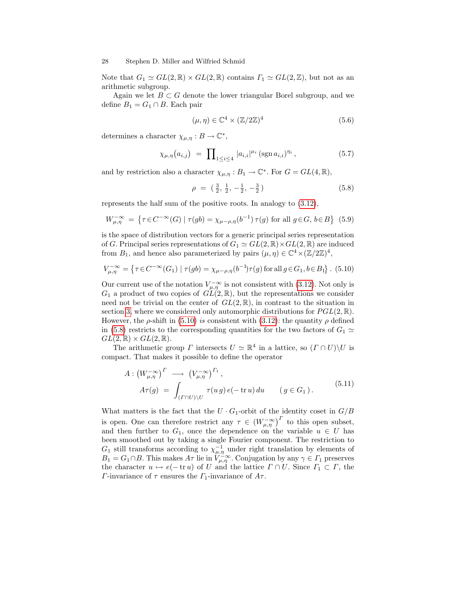Note that  $G_1 \simeq GL(2,\mathbb{R}) \times GL(2,\mathbb{R})$  contains  $\Gamma_1 \simeq GL(2,\mathbb{Z})$ , but not as an arithmetic subgroup.

Again we let  $B \subset G$  denote the lower triangular Borel subgroup, and we define  $B_1 = G_1 \cap B$ . Each pair

$$
(\mu, \eta) \in \mathbb{C}^4 \times (\mathbb{Z}/2\mathbb{Z})^4 \tag{5.6}
$$

determines a character  $\chi_{\mu,\eta}: B \to \mathbb{C}^*$ ,

<span id="page-27-2"></span>
$$
\chi_{\mu,\eta}(a_{i,j}) = \prod_{1 \leq i \leq 4} |a_{i,i}|^{\mu_i} (\operatorname{sgn} a_{i,i})^{\eta_i}, \qquad (5.7)
$$

and by restriction also a character  $\chi_{\mu,\eta}: B_1 \to \mathbb{C}^*$ . For  $G = GL(4, \mathbb{R})$ ,

<span id="page-27-1"></span>
$$
\rho = \left(\frac{3}{2}, \frac{1}{2}, -\frac{1}{2}, -\frac{3}{2}\right) \tag{5.8}
$$

represents the half sum of the positive roots. In analogy to [\(3.12\)](#page-11-3),

<span id="page-27-4"></span>
$$
W_{\mu,\eta}^{-\infty} = \left\{ \tau \in C^{-\infty}(G) \mid \tau(gb) = \chi_{\mu-\rho,\eta}(b^{-1})\,\tau(g) \text{ for all } g \in G, \, b \in B \right\} \tag{5.9}
$$

is the space of distribution vectors for a generic principal series representation of G. Principal series representations of  $G_1 \simeq GL(2, \mathbb{R}) \times GL(2, \mathbb{R})$  are induced from  $B_1$ , and hence also parameterized by pairs  $(\mu, \eta) \in \mathbb{C}^4 \times (\mathbb{Z}/2\mathbb{Z})^4$ ,

<span id="page-27-0"></span>
$$
V_{\mu,\eta}^{-\infty} = \left\{ \tau \in C^{-\infty}(G_1) \mid \tau(gb) = \chi_{\mu-\rho,\eta}(b^{-1})\tau(g) \text{ for all } g \in G_1, b \in B_1 \right\}. (5.10)
$$

Our current use of the notation  $V_{\mu,\eta}^{-\infty}$  is not consistent with [\(3.12\)](#page-11-3). Not only is  $G_1$  a product of two copies of  $GL(2,\mathbb{R})$ , but the representations we consider need not be trivial on the center of  $GL(2,\mathbb{R})$ , in contrast to the situation in section [3,](#page-9-2) where we considered only automorphic distributions for  $PGL(2,\mathbb{R})$ . However, the  $\rho$ -shift in [\(5.10\)](#page-27-0) is consistent with [\(3.12\)](#page-11-3): the quantity  $\rho$  defined in [\(5.8\)](#page-27-1) restricts to the corresponding quantities for the two factors of  $G_1 \simeq$  $GL(2,\mathbb{R})\times GL(2,\mathbb{R}).$ 

The arithmetic group  $\Gamma$  intersects  $U \simeq \mathbb{R}^4$  in a lattice, so  $(\Gamma \cap U) \backslash U$  is compact. That makes it possible to define the operator

<span id="page-27-3"></span>
$$
A: (W_{\mu,\eta}^{-\infty})^{\Gamma} \longrightarrow (V_{\mu,\eta}^{-\infty})^{\Gamma_1},
$$
  
\n
$$
A\tau(g) = \int_{(\Gamma \cap U) \backslash U} \tau(u g) e(-\operatorname{tr} u) du \qquad (g \in G_1).
$$
\n(5.11)

What matters is the fact that the  $U \cdot G_1$ -orbit of the identity coset in  $G/B$ is open. One can therefore restrict any  $\tau \in (W^{-\infty}_{\mu,\eta})^{\Gamma}$  to this open subset, and then further to  $G_1$ , once the dependence on the variable  $u \in U$  has been smoothed out by taking a single Fourier component. The restriction to  $G_1$  still transforms according to  $\chi_{\mu,\eta}^{-1}$  under right translation by elements of  $B_1 = G_1 \cap B$ . This makes  $A\tau$  lie in  $V_{\mu,\eta}^{-\infty}$ . Conjugation by any  $\gamma \in \Gamma_1$  preserves the character  $u \mapsto e(-\operatorname{tr} u)$  of U and the lattice  $\Gamma \cap U$ . Since  $\Gamma_1 \subset \Gamma$ , the Γ-invariance of  $\tau$  ensures the  $\Gamma_1$ -invariance of  $A\tau$ .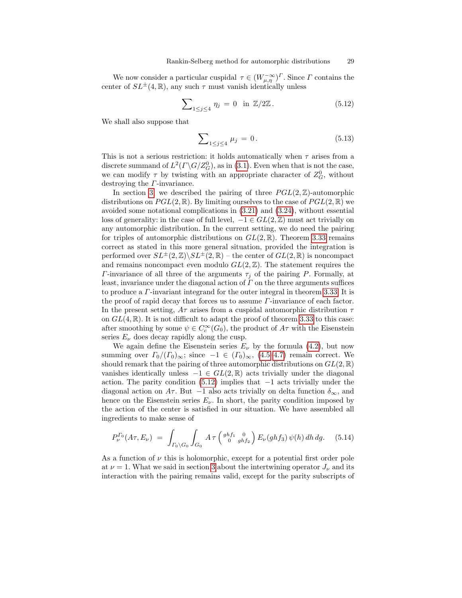We now consider a particular cuspidal  $\tau \in (W^{-\infty}_{\mu,\eta})^{\Gamma}$ . Since  $\Gamma$  contains the center of  $SL^{\pm}(4,\mathbb{R})$ , any such  $\tau$  must vanish identically unless

<span id="page-28-0"></span>
$$
\sum_{1 \le j \le 4} \eta_j = 0 \quad \text{in } \mathbb{Z}/2\mathbb{Z}. \tag{5.12}
$$

We shall also suppose that

<span id="page-28-1"></span>
$$
\sum_{1 \le j \le 4} \mu_j = 0. \tag{5.13}
$$

This is not a serious restriction: it holds automatically when  $\tau$  arises from a discrete summand of  $L^2(\Gamma \backslash G/Z_G^0)$ , as in [\(3.1\)](#page-9-1). Even when that is not the case, we can modify  $\tau$  by twisting with an appropriate character of  $Z_G^0$ , without destroying the Γ-invariance.

In section [3,](#page-9-2) we described the pairing of three  $PGL(2,\mathbb{Z})$ -automorphic distributions on  $PGL(2,\mathbb{R})$ . By limiting ourselves to the case of  $PGL(2,\mathbb{R})$  we avoided some notational complications in [\(3.21\)](#page-13-1) and [\(3.24\)](#page-14-0), without essential loss of generality: in the case of full level,  $-1 \in GL(2, \mathbb{Z})$  must act trivially on any automorphic distribution. In the current setting, we do need the pairing for triples of automorphic distributions on  $GL(2,\mathbb{R})$ . Theorem [3.33](#page-15-3) remains correct as stated in this more general situation, provided the integration is performed over  $SL^{\pm}(2,\mathbb{Z})\backslash SL^{\pm}(2,\mathbb{R})$  – the center of  $GL(2,\mathbb{R})$  is noncompact and remains noncompact even modulo  $GL(2,\mathbb{Z})$ . The statement requires the *Γ*-invariance of all three of the arguments  $\tau_j$  of the pairing *P*. Formally, at least, invariance under the diagonal action of  $\Gamma$  on the three arguments suffices to produce a Γ-invariant integrand for the outer integral in theorem [3.33.](#page-15-3) It is the proof of rapid decay that forces us to assume  $\Gamma$ -invariance of each factor. In the present setting,  $A\tau$  arises from a cuspidal automorphic distribution  $\tau$ on  $GL(4,\mathbb{R})$ . It is not difficult to adapt the proof of theorem [3.33](#page-15-3) to this case: after smoothing by some  $\psi \in C_c^{\infty}(G_0)$ , the product of  $A\tau$  with the Eisenstein series  $E_{\nu}$  does decay rapidly along the cusp.

We again define the Eisenstein series  $E_{\nu}$  by the formula [\(4.2\)](#page-17-0), but now summing over  $\Gamma_0/(T_0)_{\infty}$ ; since  $-1 \in (T_0)_{\infty}$ ,  $(4.5-4.7)$  $(4.5-4.7)$  remain correct. We should remark that the pairing of three automorphic distributions on  $GL(2,\mathbb{R})$ vanishes identically unless  $-1 \in GL(2,\mathbb{R})$  acts trivially under the diagonal action. The parity condition  $(5.12)$  implies that  $-1$  acts trivially under the diagonal action on A $\tau$ . But -1 also acts trivially on delta function  $\delta_{\infty}$ , and hence on the Eisenstein series  $E_{\nu}$ . In short, the parity condition imposed by the action of the center is satisfied in our situation. We have assembled all ingredients to make sense of

<span id="page-28-2"></span>
$$
P_{\nu}^{\Gamma_0}(A\tau, E_{\nu}) = \int_{\Gamma_0 \backslash G_0} \int_{G_0} A\tau \left( \begin{array}{cc} ghf_1 & 0 \\ 0 & ghf_2 \end{array} \right) E_{\nu}(ghf_3) \psi(h) dh dg. \quad (5.14)
$$

As a function of  $\nu$  this is holomorphic, except for a potential first order pole at  $\nu = 1$ . What we said in section [3](#page-9-2) about the intertwining operator  $J_{\nu}$  and its interaction with the pairing remains valid, except for the parity subscripts of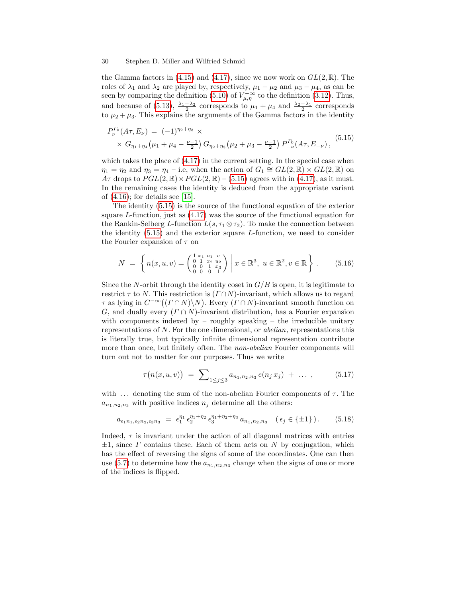the Gamma factors in [\(4.15\)](#page-19-0) and [\(4.17\)](#page-19-3), since we now work on  $GL(2,\mathbb{R})$ . The roles of  $\lambda_1$  and  $\lambda_2$  are played by, respectively,  $\mu_1 - \mu_2$  and  $\mu_3 - \mu_4$ , as can be seen by comparing the definition [\(5.10\)](#page-27-0) of  $V_{\mu,\eta}^{-\infty}$  to the definition [\(3.12\)](#page-11-3). Thus, and because of [\(5.13\)](#page-28-1),  $\frac{\lambda_1 - \lambda_2}{2}$  corresponds to  $\mu_1 + \mu_4$  and  $\frac{\lambda_2 - \lambda_1}{2}$  corresponds to  $\mu_2 + \mu_3$ . This explains the arguments of the Gamma factors in the identity

<span id="page-29-0"></span>
$$
P_{\nu}^{\Gamma_0}(A\tau, E_{\nu}) = (-1)^{\eta_2 + \eta_3} \times \times G_{\eta_1 + \eta_4}(\mu_1 + \mu_4 - \frac{\nu - 1}{2}) G_{\eta_2 + \eta_3}(\mu_2 + \mu_3 - \frac{\nu - 1}{2}) P_{-\nu}^{\Gamma_0}(A\tau, E_{-\nu}),
$$
(5.15)

which takes the place of  $(4.17)$  in the current setting. In the special case when  $\eta_1 = \eta_2$  and  $\eta_3 = \eta_4$  – i.e, when the action of  $G_1 \cong GL(2,\mathbb{R}) \times GL(2,\mathbb{R})$  on  $A\tau$  drops to  $PGL(2,\mathbb{R})\times PGL(2,\mathbb{R})$  – [\(5.15\)](#page-29-0) agrees with in [\(4.17\)](#page-19-3), as it must. In the remaining cases the identity is deduced from the appropriate variant of [\(4.16\)](#page-19-1); for details see [\[15\]](#page-37-0).

The identity [\(5.15\)](#page-29-0) is the source of the functional equation of the exterior square L-function, just as [\(4.17\)](#page-19-3) was the source of the functional equation for the Rankin-Selberg L-function  $L(s, \tau_1 \otimes \tau_2)$ . To make the connection between the identity  $(5.15)$  and the exterior square L-function, we need to consider the Fourier expansion of  $\tau$  on

<span id="page-29-1"></span>
$$
N = \left\{ n(x, u, v) = \begin{pmatrix} 1 & x_1 & u_1 & v \\ 0 & 1 & x_2 & u_2 \\ 0 & 0 & 1 & x_3 \\ 0 & 0 & 0 & 1 \end{pmatrix} \, \middle| \, x \in \mathbb{R}^3, \, u \in \mathbb{R}^2, v \in \mathbb{R} \right\}. \tag{5.16}
$$

Since the N-orbit through the identity coset in  $G/B$  is open, it is legitimate to restrict  $\tau$  to N. This restriction is  $(\Gamma \cap N)$ -invariant, which allows us to regard  $\tau$  as lying in  $C^{-\infty}((\Gamma \cap N) \backslash N)$ . Every  $(\Gamma \cap N)$ -invariant smooth function on G, and dually every  $(\Gamma \cap N)$ -invariant distribution, has a Fourier expansion with components indexed by – roughly speaking – the irreducible unitary representations of N. For the one dimensional, or abelian, representations this is literally true, but typically infinite dimensional representation contribute more than once, but finitely often. The *non-abelian* Fourier components will turn out not to matter for our purposes. Thus we write

<span id="page-29-2"></span>
$$
\tau(n(x, u, v)) = \sum_{1 \leq j \leq 3} a_{n_1, n_2, n_3} e(n_j x_j) + \dots , \qquad (5.17)
$$

with ... denoting the sum of the non-abelian Fourier components of  $\tau$ . The  $a_{n_1,n_2,n_3}$  with positive indices  $n_j$  determine all the others:

<span id="page-29-3"></span>
$$
a_{\epsilon_1 n_1, \epsilon_2 n_2, \epsilon_3 n_3} = \epsilon_1^{\eta_1} \epsilon_2^{\eta_1 + \eta_2} \epsilon_3^{\eta_1 + \eta_2 + \eta_3} a_{n_1, n_2, n_3} \quad (\epsilon_j \in \{\pm 1\}). \tag{5.18}
$$

Indeed,  $\tau$  is invariant under the action of all diagonal matrices with entries  $\pm 1$ , since  $\Gamma$  contains these. Each of them acts on N by conjugation, which has the effect of reversing the signs of some of the coordinates. One can then use [\(5.7\)](#page-27-2) to determine how the  $a_{n_1,n_2,n_3}$  change when the signs of one or more of the indices is flipped.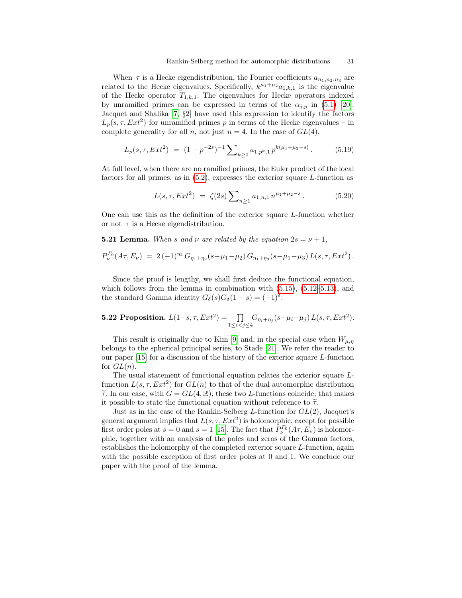When  $\tau$  is a Hecke eigendistribution, the Fourier coefficients  $a_{n_1,n_2,n_3}$  are related to the Hecke eigenvalues. Specifically,  $k^{\mu_1+\mu_2}a_{1,k,1}$  is the eigenvalue of the Hecke operator  $T_{1,k,1}$ . The eigenvalues for Hecke operators indexed by unramified primes can be expressed in terms of the  $\alpha_{i,p}$  in [\(5.1\)](#page-26-0) [\[20\]](#page-37-10). Jacquet and Shalika [\[7,](#page-37-11) §2] have used this expression to identify the factors  $L_p(s, \tau, Ext^2)$  for unramified primes p in terms of the Hecke eigenvalues – in complete generality for all n, not just  $n = 4$ . In the case of  $GL(4)$ ,

$$
L_p(s, \tau, Ext^2) = (1 - p^{-2s})^{-1} \sum_{k \ge 0} a_{1, p^k, 1} p^{k(\mu_1 + \mu_2 - s)}.
$$
 (5.19)

At full level, when there are no ramified primes, the Euler product of the local factors for all primes, as in  $(5.2)$ , expresses the exterior square L-function as

<span id="page-30-1"></span>
$$
L(s, \tau, Ext^2) = \zeta(2s) \sum_{n \ge 1} a_{1,n,1} n^{\mu_1 + \mu_2 - s}.
$$
 (5.20)

One can use this as the definition of the exterior square L-function whether or not  $\tau$  is a Hecke eigendistribution.

<span id="page-30-0"></span>**5.21 Lemma.** When s and v are related by the equation  $2s = \nu + 1$ ,

$$
P_{\nu}^{\Gamma_0}(A\tau, E_{\nu}) = 2(-1)^{\eta_2} G_{\eta_1+\eta_2}(s-\mu_1-\mu_2) G_{\eta_1+\eta_3}(s-\mu_1-\mu_3) L(s,\tau, Ext^2).
$$

Since the proof is lengthy, we shall first deduce the functional equation, which follows from the lemma in combination with  $(5.15)$ ,  $(5.12-5.13)$  $(5.12-5.13)$ , and the standard Gamma identity  $G_{\delta}(s)G_{\delta}(1-s) = (-1)^{\delta}$ :

**5.22 Proposition.** 
$$
L(1-s, \tau, Ext^2) = \prod_{1 \le i < j \le 4} G_{\eta_i + \eta_j}(s - \mu_i - \mu_j) L(s, \tau, Ext^2).
$$

This result is originally due to Kim [\[9\]](#page-37-12) and, in the special case when  $W_{\mu,\eta}$ belongs to the spherical principal series, to Stade [\[21\]](#page-37-13). We refer the reader to our paper [\[15\]](#page-37-0) for a discussion of the history of the exterior square L-function for  $GL(n)$ .

The usual statement of functional equation relates the exterior square Lfunction  $L(s, \tau, Ext^2)$  for  $GL(n)$  to that of the dual automorphic distribution  $\widetilde{\tau}$ . In our case, with  $G = GL(4, \mathbb{R})$ , these two *L*-functions coincide; that makes it possible to state the functional equation without reference to  $\tilde{\tau}$ .

Just as in the case of the Rankin-Selberg L-function for  $GL(2)$ , Jacquet's general argument implies that  $L(s, \tau, Ext^2)$  is holomorphic, except for possible first order poles at  $s = 0$  and  $s = 1$  [\[15\]](#page-37-0). The fact that  $P_{\nu}^{\Gamma_0}(A\tau, E_{\nu})$  is holomorphic, together with an analysis of the poles and zeros of the Gamma factors, establishes the holomorphy of the completed exterior square L-function, again with the possible exception of first order poles at 0 and 1. We conclude our paper with the proof of the lemma.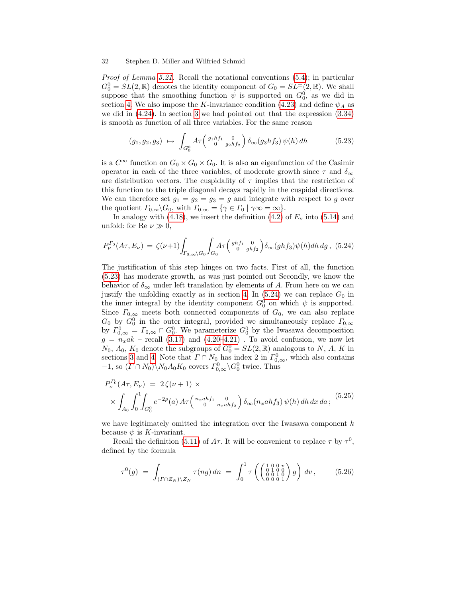Proof of Lemma [5.21.](#page-30-0) Recall the notational conventions [\(5.4\)](#page-26-2); in particular  $G_0^0 = SL(2,\mathbb{R})$  denotes the identity component of  $G_0 = SL^{\pm}(2,\mathbb{R})$ . We shall suppose that the smoothing function  $\psi$  is supported on  $G_0^0$ , as we did in section [4.](#page-16-1) We also impose the K-invariance condition [\(4.23\)](#page-21-4) and define  $\psi_A$  as we did in  $(4.24)$ . In section [3](#page-9-2) we had pointed out that the expression  $(3.34)$ is smooth as function of all three variables. For the same reason

<span id="page-31-0"></span>
$$
(g_1, g_2, g_3) \mapsto \int_{G_0^0} A \tau \begin{pmatrix} g_1 h f_1 & 0 \\ 0 & g_2 h f_2 \end{pmatrix} \delta_\infty(g_3 h f_3) \psi(h) dh \qquad (5.23)
$$

is a  $C^{\infty}$  function on  $G_0 \times G_0 \times G_0$ . It is also an eigenfunction of the Casimir operator in each of the three variables, of moderate growth since  $\tau$  and  $\delta_{\infty}$ are distribution vectors. The cuspidality of  $\tau$  implies that the restriction of this function to the triple diagonal decays rapidly in the cuspidal directions. We can therefore set  $g_1 = g_2 = g_3 = g$  and integrate with respect to g over the quotient  $\Gamma_{0,\infty}\backslash G_0$ , with  $\Gamma_{0,\infty} = {\gamma \in \Gamma_0 \mid \gamma \infty = \infty}.$ 

In analogy with [\(4.18\)](#page-20-0), we insert the definition [\(4.2\)](#page-17-0) of  $E_{\nu}$  into [\(5.14\)](#page-28-2) and unfold: for Re  $\nu \gg 0$ ,

<span id="page-31-1"></span>
$$
P_{\nu}^{\Gamma_0}(A\tau, E_{\nu}) = \zeta(\nu+1) \int_{\Gamma_{0,\infty}\backslash G_0} \int_{G_0} A\tau \left(\begin{array}{cc} ghf_1 & 0\\ 0 & ghf_2 \end{array}\right) \delta_{\infty}(ghf_3)\psi(h)dh\,dg\,,\,\,(5.24)
$$

The justification of this step hinges on two facts. First of all, the function [\(5.23\)](#page-31-0) has moderate growth, as was just pointed out Secondly, we know the behavior of  $\delta_{\infty}$  under left translation by elements of A. From here on we can justify the unfolding exactly as in section [4.](#page-16-1) In  $(5.24)$  we can replace  $G_0$  in the inner integral by the identity component  $G_0^0$  on which  $\psi$  is supported. Since  $\Gamma_{0,\infty}$  meets both connected components of  $G_0$ , we can also replace  $G_0$  by  $G_0^0$  in the outer integral, provided we simultaneously replace  $\Gamma_{0,\infty}$ by  $\Gamma_{0,\infty}^0 = \Gamma_{0,\infty} \cap G_0^0$ . We parameterize  $G_0^0$  by the Iwasawa decomposition  $g = n_x a k$  – recall [\(3.17\)](#page-12-4) and [\(4.20–](#page-20-4)[4.21\)](#page-20-2). To avoid confusion, we now let  $N_0$ ,  $A_0$ ,  $K_0$  denote the subgroups of  $G_0^0 = SL(2, \mathbb{R})$  analogous to N, A, K in sections [3](#page-9-2) and [4.](#page-16-1) Note that  $\Gamma \cap N_0$  has index 2 in  $\Gamma^0_{0,\infty}$ , which also contains  $-1$ , so  $(\Gamma \cap N_0) \setminus N_0 A_0 K_0$  covers  $\Gamma^0_{0,\infty} \setminus G_0^0$  twice. Thus

<span id="page-31-2"></span>
$$
P_{\nu}^{\Gamma_0}(A\tau, E_{\nu}) = 2\zeta(\nu+1) \times
$$
  
 
$$
\times \int_{A_0} \int_0^1 \int_{G_0^0} e^{-2\rho}(a) A\tau \begin{pmatrix} n_x a h f_1 & 0 \\ 0 & n_x a h f_2 \end{pmatrix} \delta_{\infty}(n_x a h f_3) \psi(h) dh dx da ;
$$
 (5.25)

we have legitimately omitted the integration over the Iwasawa component  $k$ because  $\psi$  is K-invariant.

Recall the definition [\(5.11\)](#page-27-3) of  $A\tau$ . It will be convenient to replace  $\tau$  by  $\tau^0$ , defined by the formula

<span id="page-31-3"></span>
$$
\tau^{0}(g) = \int_{(\Gamma \cap Z_{N}) \backslash Z_{N}} \tau(ng) \, dn = \int_{0}^{1} \tau \left( \begin{pmatrix} 1 & 0 & 0 & v \\ 0 & 1 & 0 & 0 \\ 0 & 0 & 1 & 0 \\ 0 & 0 & 0 & 1 \end{pmatrix} g \right) \, dv , \qquad (5.26)
$$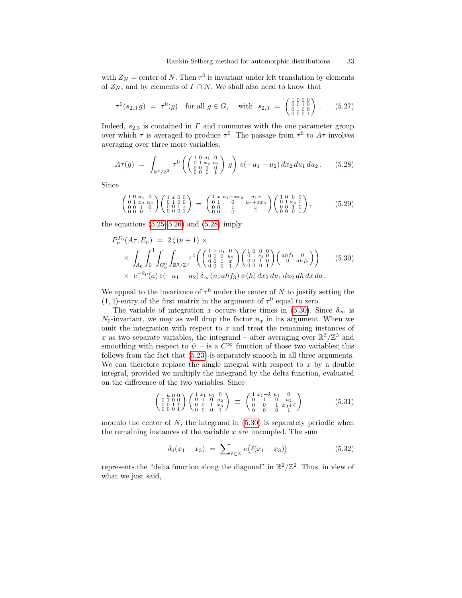with  $Z_N$  = center of N. Then  $\tau^0$  is invariant under left translation by elements of  $Z_N$ , and by elements of  $\Gamma \cap N$ . We shall also need to know that

<span id="page-32-2"></span>
$$
\tau^{0}(s_{2,3} g) = \tau^{0}(g) \text{ for all } g \in G, \text{ with } s_{2,3} = \begin{pmatrix} 1 & 0 & 0 & 0 \\ 0 & 0 & 1 & 0 \\ 0 & 1 & 0 & 0 \\ 0 & 0 & 0 & 1 \end{pmatrix}. \tag{5.27}
$$

Indeed,  $s_{2,3}$  is contained in  $\Gamma$  and commutes with the one parameter group over which  $\tau$  is averaged to produce  $\tau^0$ . The passage from  $\tau^0$  to  $A\tau$  involves averaging over three more variables,

<span id="page-32-0"></span>
$$
A\tau(g) = \int_{\mathbb{R}^3/\mathbb{Z}^3} \tau^0\left(\begin{pmatrix} 1 & 0 & u_1 & 0 \\ 0 & 1 & x_2 & u_2 \\ 0 & 0 & 1 & 0 \\ 0 & 0 & 0 & 1 \end{pmatrix} g\right) e(-u_1 - u_2) dx_2 du_1 du_2.
$$
 (5.28)

Since

$$
\begin{pmatrix} 1 & 0 & u_1 & 0 \\ 0 & 1 & x_2 & u_2 \\ 0 & 0 & 1 & 0 \\ 0 & 0 & 0 & 1 \end{pmatrix} \begin{pmatrix} 1 & x & 0 & 0 \\ 0 & 1 & 0 & 0 \\ 0 & 0 & 1 & x \\ 0 & 0 & 0 & 1 \end{pmatrix} = \begin{pmatrix} 1 & x & u_1 - xx_2 & u_1x \\ 0 & 1 & 0 & u_2 + xx_2 \\ 0 & 0 & 1 & x \\ 0 & 0 & 0 & 1 \end{pmatrix} \begin{pmatrix} 1 & 0 & 0 & 0 \\ 0 & 1 & x_2 & 0 \\ 0 & 0 & 1 & 0 \\ 0 & 0 & 0 & 1 \end{pmatrix}, \tag{5.29}
$$

the equations  $(5.25-5.26)$  $(5.25-5.26)$  and  $(5.28)$  imply

<span id="page-32-1"></span>
$$
P_{\nu}^{\Gamma_0}(A\tau, E_{\nu}) = 2\zeta(\nu+1) \times \times \left(\int_{A_0}^{1} \int_{0}^{1} \int_{G_0^0} \int_{\mathbb{R}^3/\mathbb{Z}^3} \tau^0 \left( \begin{pmatrix} 1 & x & u_1 & 0 \\ 0 & 1 & 0 & u_2 \\ 0 & 0 & 1 & x \\ 0 & 0 & 0 & 1 \end{pmatrix} \begin{pmatrix} 1 & 0 & 0 & 0 \\ 0 & 1 & x_2 & 0 \\ 0 & 0 & 1 & 0 \\ 0 & 0 & 0 & 1 \end{pmatrix} \begin{pmatrix} abf_1 & 0 \\ 0 & abf_2 \end{pmatrix} \right) \times e^{-2\rho}(a) e(-u_1 - u_2) \delta_{\infty}(n_xahf_3) \psi(h) dx_2 du_1 du_2 dh dx da.
$$
 (5.30)

We appeal to the invariance of  $\tau^0$  under the center of N to justify setting the  $(1, 4)$ -entry of the first matrix in the argument of  $\tau^0$  equal to zero.

The variable of integration x occurs three times in [\(5.30\)](#page-32-1). Since  $\delta_{\infty}$  is  $N_0$ -invariant, we may as well drop the factor  $n_x$  in its argument. When we omit the integration with respect to  $x$  and treat the remaining instances of x as two separate variables, the integrand – after averaging over  $\mathbb{R}^3/\mathbb{Z}^3$  and smoothing with respect to  $\psi$  – is a  $C^{\infty}$  function of those two variables; this follows from the fact that [\(5.23\)](#page-31-0) is separately smooth in all three arguments. We can therefore replace the single integral with respect to  $x$  by a double integral, provided we multiply the integrand by the delta function, evaluated on the difference of the two variables. Since

$$
\begin{pmatrix} 1 & k & 0 & 0 \ 0 & 1 & 0 & 0 \ 0 & 0 & 1 & \ell \ 0 & 0 & 0 & 1 \end{pmatrix} \begin{pmatrix} 1 & x_1 & u_1 & 0 \ 0 & 1 & 0 & u_2 \ 0 & 0 & 1 & x_3 \ 0 & 0 & 0 & 1 \end{pmatrix} \equiv \begin{pmatrix} 1 & x_1 + k & u_1 & 0 \ 0 & 1 & 0 & u_2 \ 0 & 0 & 1 & x_3 + \ell \ 0 & 0 & 0 & 1 \end{pmatrix}
$$
(5.31)

modulo the center of  $N$ , the integrand in  $(5.30)$  is separately periodic when the remaining instances of the variable  $x$  are uncoupled. The sum

$$
\delta_0(x_1 - x_3) = \sum_{\ell \in \mathbb{Z}} e(\ell(x_1 - x_3)) \tag{5.32}
$$

represents the "delta function along the diagonal" in  $\mathbb{R}^2/\mathbb{Z}^2$ . Thus, in view of what we just said,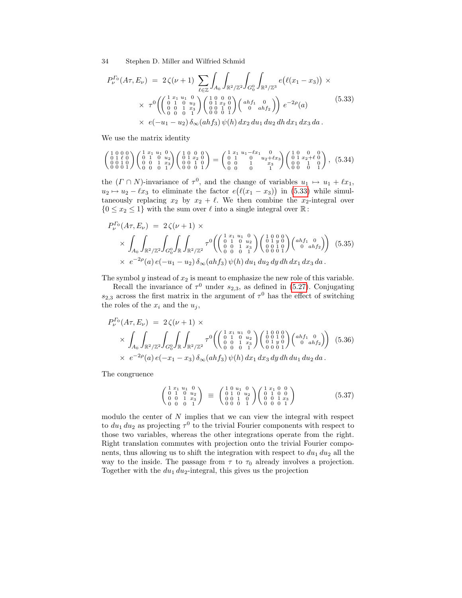<span id="page-33-0"></span>
$$
P_{\nu}^{I_0}(A\tau, E_{\nu}) = 2\zeta(\nu+1) \sum_{\ell \in \mathbb{Z}} \int_{A_0} \int_{\mathbb{R}^2/\mathbb{Z}^2} \int_{G_0^0} \int_{\mathbb{R}^3/\mathbb{Z}^3} e(\ell(x_1 - x_3)) \times \times \tau^0 \left( \begin{pmatrix} 1 & x_1 & u_1 & 0 \\ 0 & 1 & 0 & u_2 \\ 0 & 0 & 1 & x_3 \\ 0 & 0 & 0 & 1 \end{pmatrix} \begin{pmatrix} 1 & 0 & 0 & 0 \\ 0 & 1 & u_2 & 0 \\ 0 & 0 & 1 & 0 \\ 0 & 0 & 0 & 1 \end{pmatrix} \begin{pmatrix} ahf_1 & 0 \\ 0 & ahf_2 \end{pmatrix} \right) e^{-2\rho}(a) \qquad (5.33)
$$

$$
\times e(-u_1 - u_2) \delta_{\infty}(ahf_3) \psi(h) dx_2 du_1 du_2 dh dx_1 dx_3 da.
$$

We use the matrix identity

$$
\begin{pmatrix} 1 & 0 & 0 & 0 \\ 0 & 1 & \ell & 0 \\ 0 & 0 & 1 & 0 \\ 0 & 0 & 0 & 1 \end{pmatrix} \begin{pmatrix} 1 & x_1 & u_1 & 0 \\ 0 & 1 & 0 & u_2 \\ 0 & 0 & 1 & x_3 \\ 0 & 0 & 0 & 1 \end{pmatrix} \begin{pmatrix} 1 & 0 & 0 & 0 \\ 0 & 1 & x_2 & 0 \\ 0 & 1 & 0 & 0 \\ 0 & 0 & 0 & 1 \end{pmatrix} = \begin{pmatrix} 1 & x_1 & u_1 - \ell x_1 & 0 & 0 \\ 0 & 1 & 0 & u_2 + \ell x_3 \\ 0 & 0 & 0 & 1 \end{pmatrix} \begin{pmatrix} 1 & 0 & 0 & 0 \\ 0 & 1 & x_2 + \ell & 0 \\ 0 & 0 & 0 & 1 \end{pmatrix}, (5.34)
$$

the  $(\Gamma \cap N)$ -invariance of  $\tau^0$ , and the change of variables  $u_1 \mapsto u_1 + \ell x_1$ ,  $u_2 \mapsto u_2 - \ell x_3$  to eliminate the factor  $e(\ell(x_1 - x_3))$  in [\(5.33\)](#page-33-0) while simultaneously replacing  $x_2$  by  $x_2 + \ell$ . We then combine the  $x_2$ -integral over  ${0 \le x_2 \le 1}$  with the sum over  $\ell$  into a single integral over  $\mathbb{R}$ :

$$
P_{\nu}^{T_0}(A\tau, E_{\nu}) = 2\zeta(\nu+1) \times
$$
  
\$\times \int\_{A\_0} \int\_{\mathbb{R}^2/\mathbb{Z}^2} \int\_{G\_0^0} \int\_{\mathbb{R}} \int\_{\mathbb{R}^2/\mathbb{Z}^2} \tau^0 \left( \begin{pmatrix} 1 & x\_1 & u\_1 & 0 \\ 0 & 1 & 0 & u\_2 \\ 0 & 0 & 1 & x\_3 \\ 0 & 0 & 0 & 1 \end{pmatrix} \begin{pmatrix} 1 & 0 & 0 & 0 \\ 0 & 1 & y & 0 \\ 0 & 0 & 0 & 1 \\ 0 & 0 & 0 & 1 \end{pmatrix} \begin{pmatrix} abf\_1 & 0 \\ 0 & 1 & y & 0 \\ 0 & 0 & 1 & 0 \end{pmatrix} \right) \$ (5.35)\$  
\$\times e^{-2\rho}(a) e(-u\_1 - u\_2) \delta\_{\infty}(ahf\_3) \psi(h) du\_1 du\_2 dy dh dx\_1 dx\_3 da.

The symbol  $y$  instead of  $x_2$  is meant to emphasize the new role of this variable.

Recall the invariance of  $\tau^0$  under  $s_{2,3}$ , as defined in [\(5.27\)](#page-32-2). Conjugating  $s_{2,3}$  across the first matrix in the argument of  $\tau^0$  has the effect of switching the roles of the  $x_i$  and the  $u_j$ ,

$$
P_{\nu}^{\Gamma_0}(A\tau, E_{\nu}) = 2\zeta(\nu+1) \times
$$
  
\$\times \int\_{A\_0} \int\_{\mathbb{R}^2/\mathbb{Z}^2} \int\_{G\_0^0} \int\_{\mathbb{R}} \int\_{\mathbb{R}^2/\mathbb{Z}^2} \tau^0 \left( \begin{pmatrix} 1 & x\_1 & u\_1 & 0 \\ 0 & 1 & 0 & u\_2 \\ 0 & 0 & 1 & x\_3 \\ 0 & 0 & 0 & 1 \end{pmatrix} \begin{pmatrix} 1 & 0 & 0 & 0 \\ 0 & 0 & 1 & 0 \\ 0 & 1 & y & 0 \\ 0 & 0 & 0 & 1 \end{pmatrix} \begin{pmatrix} abf\_1 & 0 \\ 0 & 1 & 0 \\ 0 & 0 & 1 \end{pmatrix} \right) (5.36)  
\$\times e^{-2\rho}(a) e(-x\_1 - x\_3) \delta\_{\infty}(ahf\_3) \psi(h) dx\_1 dx\_3 dy dh du\_1 du\_2 da.

The congruence

<span id="page-33-1"></span>
$$
\begin{pmatrix} 1 & x_1 & u_1 & 0 \\ 0 & 1 & 0 & u_2 \\ 0 & 0 & 1 & x_3 \\ 0 & 0 & 0 & 1 \end{pmatrix} \equiv \begin{pmatrix} 1 & 0 & u_1 & 0 \\ 0 & 1 & 0 & u_2 \\ 0 & 0 & 1 & 0 \\ 0 & 0 & 0 & 1 \end{pmatrix} \begin{pmatrix} 1 & x_1 & 0 & 0 \\ 0 & 1 & 0 & 0 \\ 0 & 0 & 1 & x_3 \\ 0 & 0 & 0 & 1 \end{pmatrix}
$$
(5.37)

modulo the center of  $N$  implies that we can view the integral with respect to  $du_1 du_2$  as projecting  $\tau^0$  to the trivial Fourier components with respect to those two variables, whereas the other integrations operate from the right. Right translation commutes with projection onto the trivial Fourier components, thus allowing us to shift the integration with respect to  $du_1 du_2$  all the way to the inside. The passage from  $\tau$  to  $\tau_0$  already involves a projection. Together with the  $du_1 du_2$ -integral, this gives us the projection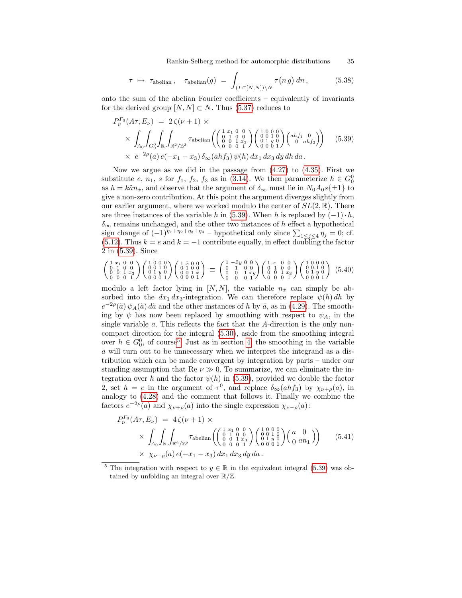Rankin-Selberg method for automorphic distributions 35

<span id="page-34-2"></span>
$$
\tau \ \mapsto \ \tau_{\text{abelian}} \,, \quad \tau_{\text{abelian}}(g) \ = \ \int_{(\varGamma \cap [N,N]) \setminus N} \tau(n \, g) \, dn \,, \tag{5.38}
$$

onto the sum of the abelian Fourier coefficients – equivalently of invariants for the derived group  $[N, N] \subset N$ . Thus [\(5.37\)](#page-33-1) reduces to

<span id="page-34-0"></span>
$$
P_{\nu}^{F_0}(A\tau, E_{\nu}) = 2\zeta(\nu+1) \times
$$
  
\$\times \int\_{A\_0} \int\_{G\_0^0} \int\_{\mathbb{R}} \int\_{\mathbb{R}^2/\mathbb{Z}^2} \tau\_{\text{abelian}} \left( \begin{pmatrix} 1 & x\_1 & 0 & 0 \\ 0 & 1 & 0 & 0 \\ 0 & 0 & 1 & x\_3 \\ 0 & 0 & 0 & 1 \end{pmatrix} \begin{pmatrix} 1 & 0 & 0 & 0 \\ 0 & 0 & 1 & 0 \\ 0 & 0 & 0 & 1 \end{pmatrix} \begin{pmatrix} abf\_1 & 0 \\ 0 & 1 & 0 \\ 0 & 0 & 0 \end{pmatrix} \right) \times e^{-2\rho}(a) e(-x\_1 - x\_3) \delta\_{\infty}(ahf\_3) \psi(h) dx\_1 dx\_3 dy dh da. (5.39)

Now we argue as we did in the passage from  $(4.27)$  to  $(4.35)$ . First we substitute e,  $n_1$ , s for  $f_1$ ,  $f_2$ ,  $f_3$  as in [\(3.14\)](#page-12-3). We then parameterize  $h \in G_0^0$ as  $h = k\tilde{a}n_{\tilde{x}}$ , and observe that the argument of  $\delta_{\infty}$  must lie in  $N_0A_0s\{\pm 1\}$  to give a non-zero contribution. At this point the argument diverges slightly from our earlier argument, where we worked modulo the center of  $SL(2,\mathbb{R})$ . There are three instances of the variable h in [\(5.39\)](#page-34-0). When h is replaced by  $(-1) \cdot h$ ,  $\delta_{\infty}$  remains unchanged, and the other two instances of h effect a hypothetical sign change of  $(-1)^{\eta_1 + \eta_2 + \eta_3 + \eta_4}$  – hypothetical only since  $\sum_{1 \leq j \leq 4} \eta_j = 0$ ; cf. [\(5.12\)](#page-28-0). Thus  $k = e$  and  $k = -1$  contribute equally, in effect doubling the factor 2 in [\(5.39\)](#page-34-0). Since

$$
\begin{pmatrix} 1 & x_1 & 0 & 0 \\ 0 & 1 & 0 & 0 \\ 0 & 0 & 1 & x_3 \\ 0 & 0 & 0 & 1 \end{pmatrix} \begin{pmatrix} 1 & 0 & 0 & 0 \\ 0 & 0 & 1 & 0 \\ 0 & 1 & y & 0 \\ 0 & 0 & 0 & 1 \end{pmatrix} \begin{pmatrix} 1 & \tilde{x} & 0 & 0 \\ 0 & 1 & 0 & 0 \\ 0 & 0 & 1 & \tilde{x} \\ 0 & 0 & 0 & 1 \end{pmatrix} \equiv \begin{pmatrix} 1 & -\tilde{x}y & 0 & 0 \\ 0 & 1 & 0 & 0 \\ 0 & 0 & 1 & \tilde{x} \\ 0 & 0 & 0 & 1 \end{pmatrix} \begin{pmatrix} 1 & x_1 & 0 & 0 \\ 0 & 1 & x_0 & 0 \\ 0 & 0 & 1 & x_3 \\ 0 & 0 & 0 & 1 \end{pmatrix} \begin{pmatrix} 1 & 0 & 0 & 0 \\ 0 & 1 & 0 & 0 \\ 0 & 1 & y & 0 \\ 0 & 0 & 0 & 1 \end{pmatrix} (5.40)
$$

modulo a left factor lying in  $[N, N]$ , the variable  $n_{\tilde{x}}$  can simply be absorbed into the  $dx_1 dx_3$ -integration. We can therefore replace  $\psi(h) dh$  by  $e^{-2\rho}(\tilde{a}) \psi_A(\tilde{a}) d\tilde{a}$  and the other instances of h by  $\tilde{a}$ , as in [\(4.29\)](#page-22-2). The smoothing by  $\psi$  has now been replaced by smoothing with respect to  $\psi_A$ , in the single variable a. This reflects the fact that the A-direction is the only noncompact direction for the integral [\(5.30\)](#page-32-1), aside from the smoothing integral over  $h \in G_0^0$ , of course<sup>[5](#page-34-1)</sup>. Just as in section [4,](#page-16-1) the smoothing in the variable a will turn out to be unnecessary when we interpret the integrand as a distribution which can be made convergent by integration by parts – under our standing assumption that Re  $\nu \gg 0$ . To summarize, we can eliminate the integration over h and the factor  $\psi(h)$  in [\(5.39\)](#page-34-0), provided we double the factor 2, set  $h = e$  in the argument of  $\tau^0$ , and replace  $\delta_{\infty}(ahf_3)$  by  $\chi_{\nu+\rho}(a)$ , in analogy to [\(4.28\)](#page-22-0) and the comment that follows it. Finally we combine the factors  $e^{-2\rho}(a)$  and  $\chi_{\nu+\rho}(a)$  into the single expression  $\chi_{\nu-\rho}(a)$ :

<span id="page-34-3"></span>
$$
P_{\nu}^{T_0}(A\tau, E_{\nu}) = 4\zeta(\nu+1) \times \times \int_{A_0} \int_{\mathbb{R}} \int_{\mathbb{R}^2/\mathbb{Z}^2} \tau_{\text{abelian}} \left( \begin{pmatrix} 1 & x_1 & 0 & 0 \\ 0 & 1 & 0 & 0 \\ 0 & 0 & 1 & x_3 \\ 0 & 0 & 0 & 1 \end{pmatrix} \begin{pmatrix} 1 & 0 & 0 & 0 \\ 0 & 0 & 1 & 0 \\ 0 & 0 & 0 & 1 \end{pmatrix} \begin{pmatrix} a & 0 \\ 0 & 1 & 0 \\ 0 & 1 & y & 0 \\ 0 & 0 & 0 & 1 \end{pmatrix} \right) \times \chi_{\nu-\rho}(a) e(-x_1 - x_3) dx_1 dx_3 dy da.
$$
 (5.41)

<span id="page-34-1"></span>The integration with respect to  $y \in \mathbb{R}$  in the equivalent integral [\(5.39\)](#page-34-0) was obtained by unfolding an integral over  $\mathbb{R}/\mathbb{Z}$ .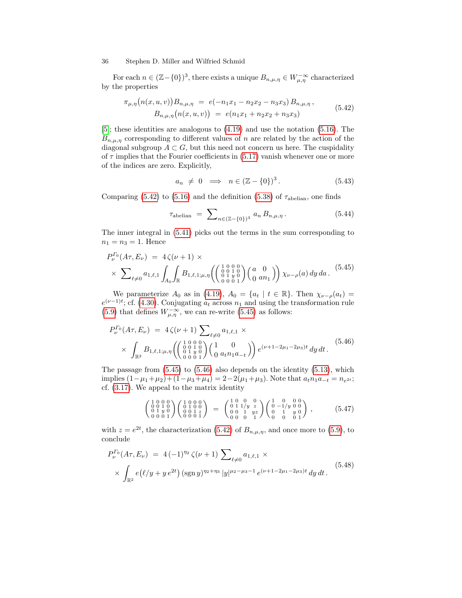For each  $n \in (\mathbb{Z} - \{0\})^3$ , there exists a unique  $B_{n,\mu,\eta} \in W^{-\infty}_{\mu,\eta}$  characterized by the properties

<span id="page-35-0"></span>
$$
\pi_{\mu,\eta}\big(n(x,u,v)\big)B_{n,\mu,\eta} = e(-n_1x_1 - n_2x_2 - n_3x_3)B_{n,\mu,\eta},\nB_{n,\mu,\eta}\big(n(x,u,v)\big) = e(n_1x_1 + n_2x_2 + n_3x_3)
$$
\n(5.42)

[\[5\]](#page-36-3); these identities are analogous to [\(4.19\)](#page-20-3) and use the notation [\(5.16\)](#page-29-1). The  $B_{n,\mu,\eta}$  corresponding to different values of n are related by the action of the diagonal subgroup  $A \subset G$ , but this need not concern us here. The cuspidality of  $\tau$  implies that the Fourier coefficients in [\(5.17\)](#page-29-2) vanish whenever one or more of the indices are zero. Explicitly,

$$
a_n \neq 0 \implies n \in (\mathbb{Z} - \{0\})^3. \tag{5.43}
$$

Comparing [\(5.42\)](#page-35-0) to [\(5.16\)](#page-29-1) and the definition [\(5.38\)](#page-34-2) of  $\tau_{\text{abelian}}$ , one finds

$$
\tau_{\text{abelian}} = \sum_{n \in (\mathbb{Z} - \{0\})^3} a_n B_{n, \mu, \eta} . \tag{5.44}
$$

The inner integral in [\(5.41\)](#page-34-3) picks out the terms in the sum corresponding to  $n_1 = n_3 = 1$ . Hence

<span id="page-35-1"></span>
$$
P_{\nu}^{\Gamma_0}(A\tau, E_{\nu}) = 4\zeta(\nu+1) \times \times \sum_{\ell \neq 0} a_{1,\ell,1} \int_{A_0} \int_{\mathbb{R}} B_{1,\ell,1;\mu,\eta} \left( \begin{pmatrix} 1 & 0 & 0 & 0 \\ 0 & 1 & 0 & 0 \\ 0 & 0 & 0 & 1 \end{pmatrix} \begin{pmatrix} a & 0 \\ 0 & an_1 \end{pmatrix} \right) \chi_{\nu-\rho}(a) dy da.
$$
 (5.45)

We parameterize  $A_0$  as in [\(4.19\)](#page-20-3),  $A_0 = \{a_t | t \in \mathbb{R}\}\.$  Then  $\chi_{\nu-\rho}(a_t) =$  $e^{(\nu-1)t}$ ; cf. [\(4.30\)](#page-22-3). Conjugating  $a_t$  across  $n_1$  and using the transformation rule [\(5.9\)](#page-27-4) that defines  $W^{-\infty}_{\mu,\eta}$ , we can re-write [\(5.45\)](#page-35-1) as follows:

<span id="page-35-2"></span>
$$
P_{\nu}^{\Gamma_0}(A\tau, E_{\nu}) = 4\zeta(\nu+1) \sum_{\ell \neq 0} a_{1,\ell,1} \times \times \int_{\mathbb{R}^2} B_{1,\ell,1;\mu,\eta} \left( \begin{pmatrix} 1 & 0 & 0 \\ 0 & 1 & 0 \\ 0 & 1 & y & 0 \\ 0 & 0 & 0 & 1 \end{pmatrix} \begin{pmatrix} 1 & 0 \\ 0 & a_{t}n_{1}a_{-t} \end{pmatrix} \right) e^{(\nu+1-2\mu_{1}-2\mu_{3})t} dy dt.
$$
 (5.46)

The passage from [\(5.45\)](#page-35-1) to [\(5.46\)](#page-35-2) also depends on the identity [\(5.13\)](#page-28-1), which implies  $(1 - \mu_1 + \mu_2) + (1 - \mu_3 + \mu_4) = 2 - 2(\mu_1 + \mu_3)$ . Note that  $a_t n_1 a_{-t} = n_{e^{2t}}$ ; cf. [\(3.17\)](#page-12-4). We appeal to the matrix identity

$$
\begin{pmatrix} 1 & 0 & 0 & 0 \\ 0 & 0 & 1 & 0 \\ 0 & 1 & y & 0 \\ 0 & 0 & 0 & 1 \end{pmatrix} \begin{pmatrix} 1 & 0 & 0 & 0 \\ 0 & 1 & 0 & 0 \\ 0 & 0 & 1 & z \\ 0 & 0 & 0 & 1 \end{pmatrix} = \begin{pmatrix} 1 & 0 & 0 & 0 \\ 0 & 1 & 1/y & z \\ 0 & 0 & 1 & yz \\ 0 & 0 & 0 & 1 \end{pmatrix} \begin{pmatrix} 1 & 0 & 0 & 0 \\ 0 & -1/y & 0 & 0 \\ 0 & 1 & y & 0 \\ 0 & 0 & 0 & 1 \end{pmatrix}, \qquad (5.47)
$$

with  $z = e^{2t}$ , the characterization [\(5.42\)](#page-35-0) of  $B_{n,\mu,\eta}$ , and once more to [\(5.9\)](#page-27-4), to conclude

$$
P_{\nu}^{\Gamma_0}(A\tau, E_{\nu}) = 4(-1)^{\eta_2} \zeta(\nu+1) \sum_{\ell \neq 0} a_{1,\ell,1} \times
$$
  
 
$$
\times \int_{\mathbb{R}^2} e(\ell/y + ye^{2t}) (\text{sgn } y)^{\eta_2+\eta_3} |y|^{\mu_2-\mu_3-1} e^{(\nu+1-2\mu_1-2\mu_3)t} dy dt.
$$
 (5.48)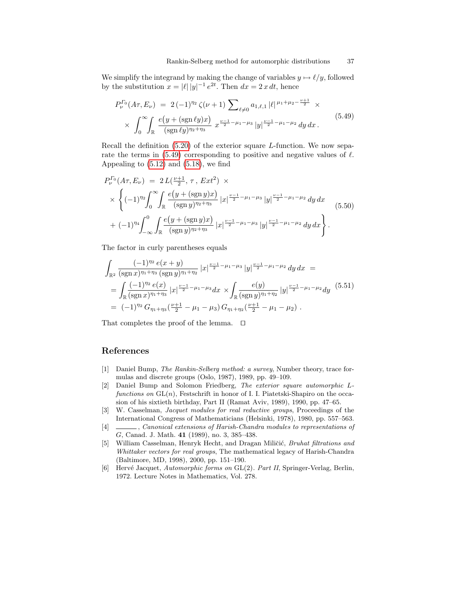We simplify the integrand by making the change of variables  $y \mapsto \ell/y$ , followed by the substitution  $x = |\ell| |y|^{-1} e^{2t}$ . Then  $dx = 2x dt$ , hence

<span id="page-36-4"></span>
$$
P_{\nu}^{\Gamma_0}(A\tau, E_{\nu}) = 2(-1)^{\eta_2} \zeta(\nu+1) \sum_{\ell \neq 0} a_{1,\ell,1} |\ell|^{\mu_1 + \mu_2 - \frac{\nu+1}{2}} \times \times \int_0^{\infty} \int_{\mathbb{R}} \frac{e(y + (\text{sgn } \ell y)x)}{(\text{sgn } \ell y)^{\eta_2 + \eta_3}} x^{\frac{\nu-1}{2} - \mu_1 - \mu_3} |y|^{\frac{\nu-1}{2} - \mu_1 - \mu_2} dy dx.
$$
\n(5.49)

Recall the definition  $(5.20)$  of the exterior square *L*-function. We now sepa-rate the terms in [\(5.49\)](#page-36-4) corresponding to positive and negative values of  $\ell$ . Appealing to  $(5.12)$  and  $(5.18)$ , we find

$$
P_{\nu}^{T_0}(A\tau, E_{\nu}) = 2 L(\frac{\nu+1}{2}, \tau, Ext^2) \times
$$
  
 
$$
\times \left\{ (-1)^{\eta_2} \int_0^{\infty} \int_{\mathbb{R}} \frac{e(y + (\text{sgn } y)x)}{(\text{sgn } y)^{\eta_2 + \eta_3}} |x|^{\frac{\nu-1}{2} - \mu_1 - \mu_3} |y|^{\frac{\nu-1}{2} - \mu_1 - \mu_2} dy dx \right\}
$$
  
+ 
$$
(-1)^{\eta_4} \int_{-\infty}^0 \int_{\mathbb{R}} \frac{e(y + (\text{sgn } y)x)}{(\text{sgn } y)^{\eta_2 + \eta_3}} |x|^{\frac{\nu-1}{2} - \mu_1 - \mu_3} |y|^{\frac{\nu-1}{2} - \mu_1 - \mu_2} dy dx \right\}.
$$
 (5.50)

The factor in curly parentheses equals

$$
\int_{\mathbb{R}^2} \frac{(-1)^{\eta_2} e(x+y)}{(\text{sgn } x)^{\eta_1+\eta_3} (\text{sgn } y)^{\eta_1+\eta_2}} |x|^{\frac{\nu-1}{2}-\mu_1-\mu_3} |y|^{\frac{\nu-1}{2}-\mu_1-\mu_2} dy dx =
$$
\n
$$
= \int_{\mathbb{R}} \frac{(-1)^{\eta_2} e(x)}{(\text{sgn } x)^{\eta_1+\eta_3}} |x|^{\frac{\nu-1}{2}-\mu_1-\mu_3} dx \times \int_{\mathbb{R}} \frac{e(y)}{(\text{sgn } y)^{\eta_1+\eta_2}} |y|^{\frac{\nu-1}{2}-\mu_1-\mu_2} dy \quad (5.51)
$$
\n
$$
= (-1)^{\eta_2} G_{\eta_1+\eta_3}(\frac{\nu+1}{2}-\mu_1-\mu_3) G_{\eta_1+\eta_2}(\frac{\nu+1}{2}-\mu_1-\mu_2) .
$$

That completes the proof of the lemma.  $\Box$ 

### References

- <span id="page-36-1"></span>[1] Daniel Bump, The Rankin-Selberg method: a survey, Number theory, trace formulas and discrete groups (Oslo, 1987), 1989, pp. 49–109.
- [2] Daniel Bump and Solomon Friedberg, The exterior square automorphic Lfunctions on  $GL(n)$ , Festschrift in honor of I. I. Piatetski-Shapiro on the occasion of his sixtieth birthday, Part II (Ramat Aviv, 1989), 1990, pp. 47–65.
- <span id="page-36-2"></span>[3] W. Casselman, Jacquet modules for real reductive groups, Proceedings of the International Congress of Mathematicians (Helsinki, 1978), 1980, pp. 557–563.
- [4]  $\quad \underline{\hspace{2cm}}$ , Canonical extensions of Harish-Chandra modules to representations of G, Canad. J. Math. 41 (1989), no. 3, 385–438.
- <span id="page-36-3"></span>[5] William Casselman, Henryk Hecht, and Dragan Miličić, Bruhat filtrations and Whittaker vectors for real groups, The mathematical legacy of Harish-Chandra (Baltimore, MD, 1998), 2000, pp. 151–190.
- <span id="page-36-0"></span>[6] Hervé Jacquet, Automorphic forms on GL(2). Part II, Springer-Verlag, Berlin, 1972. Lecture Notes in Mathematics, Vol. 278.